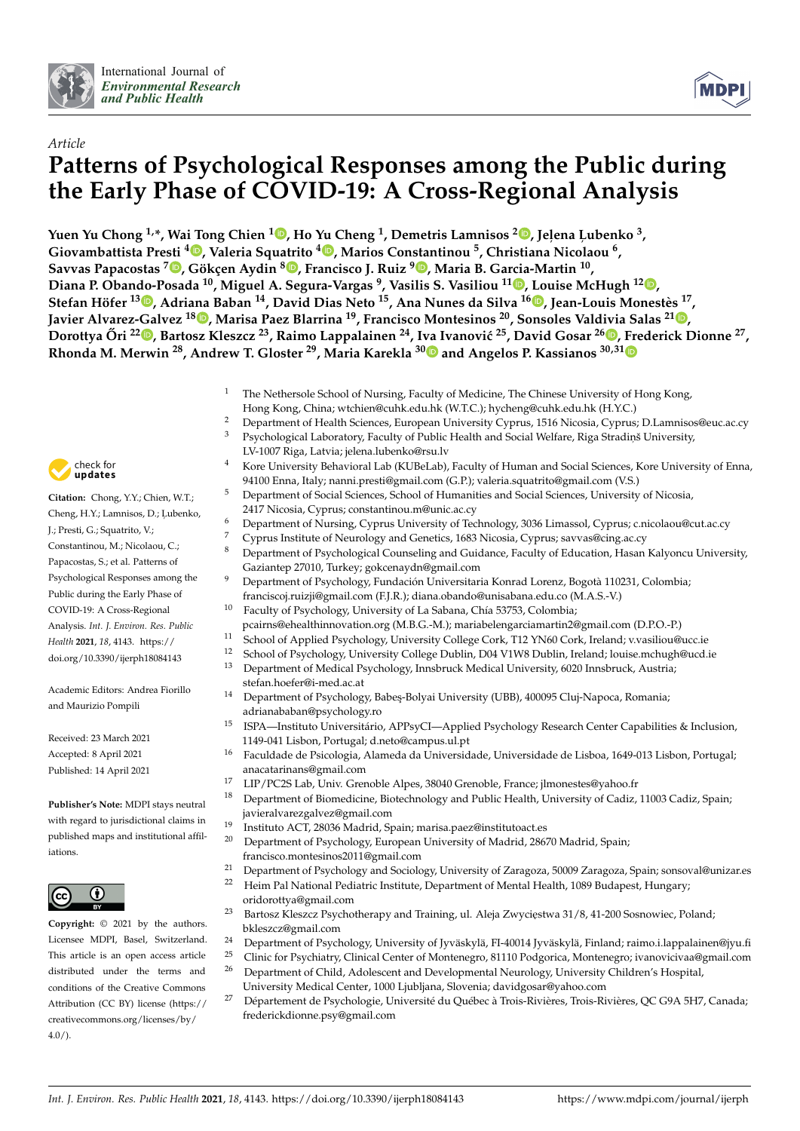



# *Article* **Patterns of Psychological Responses among the Public during the Early Phase of COVID-19: A Cross-Regional Analysis**

**Yuen Yu Chong 1,\*, Wai Tong Chien [1](https://orcid.org/0000-0001-5321-5791) , Ho Yu Cheng <sup>1</sup> , Demetris Lamnisos <sup>2</sup> [,](https://orcid.org/0000-0001-8535-6601) Jel,ena L, ubenko <sup>3</sup> , Giovambattista Presti <sup>4</sup> [,](https://orcid.org/0000-0002-0891-4558) Valeria Squatrito <sup>4</sup> [,](https://orcid.org/0000-0002-0796-2187) Marios Constantinou <sup>5</sup> , Christiana Nicolaou <sup>6</sup> , Savvas Papacostas <sup>7</sup> [,](https://orcid.org/0000-0003-3845-7439) Gökçen Aydin <sup>8</sup> [,](https://orcid.org/0000-0003-0781-7817) Francisco J. Ruiz <sup>9</sup> [,](https://orcid.org/0000-0001-8863-1111) Maria B. Garcia-Martin <sup>10</sup> , Diana P. Obando-Posada <sup>10</sup>, Miguel A. Segura-Vargas <sup>9</sup> , Vasilis S. Vasiliou <sup>11</sup> [,](https://orcid.org/0000-0003-3501-4093) Louise McHugh <sup>12</sup> [,](https://orcid.org/0000-0002-2526-4649) Stefan Höfer <sup>13</sup> [,](https://orcid.org/0000-0002-6128-3687) Adriana Baban <sup>14</sup>, David Dias Neto <sup>15</sup>, Ana Nunes da Silva <sup>16</sup> [,](https://orcid.org/0000-0001-7125-716X) Jean-Louis Monestès 17 , Javier Alvarez-Galvez <sup>18</sup> [,](https://orcid.org/0000-0001-9512-7853) Marisa Paez Blarrina <sup>19</sup>, Francisco Montesinos <sup>20</sup>, Sonsoles Valdivia Salas <sup>21</sup> [,](https://orcid.org/0000-0002-0242-5972)** Dorottya Őri <sup>22</sup>D[,](https://orcid.org/0000-0002-5289-3459) Bartosz Kleszcz <sup>23</sup>, Raimo Lappalainen <sup>24</sup>, I[va](https://orcid.org/0000-0001-7021-7908) Ivanović <sup>25</sup>, David Gosar <sup>26</sup>D, Frederick Dionne <sup>27</sup>, **Rhonda M. Merwin <sup>28</sup>, Andrew T. Gloster <sup>29</sup>, Maria Karekla <sup>30</sup> and Angelos P. Kassianos 30,3[1](https://orcid.org/0000-0001-6428-2623)**

- The Nethersole School of Nursing, Faculty of Medicine, The Chinese University of Hong Kong, Hong Kong, China; wtchien@cuhk.edu.hk (W.T.C.); hycheng@cuhk.edu.hk (H.Y.C.)
- <sup>2</sup> Department of Health Sciences, European University Cyprus, 1516 Nicosia, Cyprus; D.Lamnisos@euc.ac.cy<br><sup>3</sup> Petrobelogiaal Johanntowy Feaulty of Public Health and Social Welfane Pice Strading University
- Psychological Laboratory, Faculty of Public Health and Social Welfare, Riga Stradinš University,
- LV-1007 Riga, Latvia; jelena.lubenko@rsu.lv <sup>4</sup> Kore University Behavioral Lab (KUBeLab), Faculty of Human and Social Sciences, Kore University of Enna, 94100 Enna, Italy; nanni.presti@gmail.com (G.P.); valeria.squatrito@gmail.com (V.S.)
- <sup>5</sup> Department of Social Sciences, School of Humanities and Social Sciences, University of Nicosia, 2417 Nicosia, Cyprus; constantinou.m@unic.ac.cy
- <sup>6</sup> Department of Nursing, Cyprus University of Technology, 3036 Limassol, Cyprus; c.nicolaou@cut.ac.cy
- <sup>7</sup> Cyprus Institute of Neurology and Genetics, 1683 Nicosia, Cyprus; savvas@cing.ac.cy<br><sup>8</sup> Department of Psychological Counseling and Cuidance, Equative of Education, Hasan
- <sup>8</sup> Department of Psychological Counseling and Guidance, Faculty of Education, Hasan Kalyoncu University, Gaziantep 27010, Turkey; gokcenaydn@gmail.com
	- <sup>9</sup> Department of Psychology, Fundación Universitaria Konrad Lorenz, Bogotà 110231, Colombia; franciscoj.ruizji@gmail.com (F.J.R.); diana.obando@unisabana.edu.co (M.A.S.-V.)
- <sup>10</sup> Faculty of Psychology, University of La Sabana, Chía 53753, Colombia; pcairns@ehealthinnovation.org (M.B.G.-M.); mariabelengarciamartin2@gmail.com (D.P.O.-P.)
- 11 School of Applied Psychology, University College Cork, T12 YN60 Cork, Ireland; v.vasiliou@ucc.ie<br>12 Sebool of Psychology, University College Dublin, D04 V1W8 Dublin, Ireland; lavies mehyde@ucd.i
	- <sup>12</sup> School of Psychology, University College Dublin, D04 V1W8 Dublin, Ireland; louise.mchugh@ucd.ie
- <sup>13</sup> Department of Medical Psychology, Innsbruck Medical University, 6020 Innsbruck, Austria; stefan.hoefer@i-med.ac.at
- <sup>14</sup> Department of Psychology, Babeş-Bolyai University (UBB), 400095 Cluj-Napoca, Romania; adrianababan@psychology.ro
- <sup>15</sup> ISPA—Instituto Universitário, APPsyCI—Applied Psychology Research Center Capabilities & Inclusion, 1149-041 Lisbon, Portugal; d.neto@campus.ul.pt
- <sup>16</sup> Faculdade de Psicologia, Alameda da Universidade, Universidade de Lisboa, 1649-013 Lisbon, Portugal; anacatarinans@gmail.com
- <sup>17</sup> LIP/PC2S Lab, Univ. Grenoble Alpes, 38040 Grenoble, France; jlmonestes@yahoo.fr
- <sup>18</sup> Department of Biomedicine, Biotechnology and Public Health, University of Cadiz, 11003 Cadiz, Spain; javieralvarezgalvez@gmail.com
- <sup>19</sup> Instituto ACT, 28036 Madrid, Spain; marisa.paez@institutoact.es
- <sup>20</sup> Department of Psychology, European University of Madrid, 28670 Madrid, Spain; francisco.montesinos2011@gmail.com
- <sup>21</sup> Department of Psychology and Sociology, University of Zaragoza, 50009 Zaragoza, Spain; sonsoval@unizar.es
- <sup>22</sup> Heim Pal National Pediatric Institute, Department of Mental Health, 1089 Budapest, Hungary;
- oridorottya@gmail.com <sup>23</sup> Bartosz Kleszcz Psychotherapy and Training, ul. Aleja Zwycięstwa 31/8, 41-200 Sosnowiec, Poland;
- bkleszcz@gmail.com <sup>24</sup> Department of Psychology, University of Jyväskylä, FI-40014 Jyväskylä, Finland; raimo.i.lappalainen@jyu.fi
- <sup>25</sup> Clinic for Psychiatry, Clinical Center of Montenegro, 81110 Podgorica, Montenegro; ivanovicivaa@gmail.com
- <sup>26</sup> Department of Child, Adolescent and Developmental Neurology, University Children's Hospital, University Medical Center, 1000 Ljubljana, Slovenia; davidgosar@yahoo.com
- <sup>27</sup> Département de Psychologie, Université du Québec à Trois-Rivières, Trois-Rivières, QC G9A 5H7, Canada; frederickdionne.psy@gmail.com



**Citation:** Chong, Y.Y.; Chien, W.T.; Cheng, H.Y.; Lamnisos, D.; Ļubenko, J.; Presti, G.; Squatrito, V.; Constantinou, M.; Nicolaou, C.; Papacostas, S.; et al. Patterns of Psychological Responses among the Public during the Early Phase of COVID-19: A Cross-Regional Analysis. *Int. J. Environ. Res. Public Health* **2021**, *18*, 4143. [https://](https://doi.org/10.3390/ijerph18084143) [doi.org/10.3390/ijerph18084143](https://doi.org/10.3390/ijerph18084143)

Academic Editors: Andrea Fiorillo and Maurizio Pompili

Received: 23 March 2021 Accepted: 8 April 2021 Published: 14 April 2021

**Publisher's Note:** MDPI stays neutral with regard to jurisdictional claims in published maps and institutional affiliations.



**Copyright:** © 2021 by the authors. Licensee MDPI, Basel, Switzerland. This article is an open access article distributed under the terms and conditions of the Creative Commons Attribution (CC BY) license (https:/[/](https://creativecommons.org/licenses/by/4.0/) [creativecommons.org/licenses/by/](https://creativecommons.org/licenses/by/4.0/)  $4.0/$ ).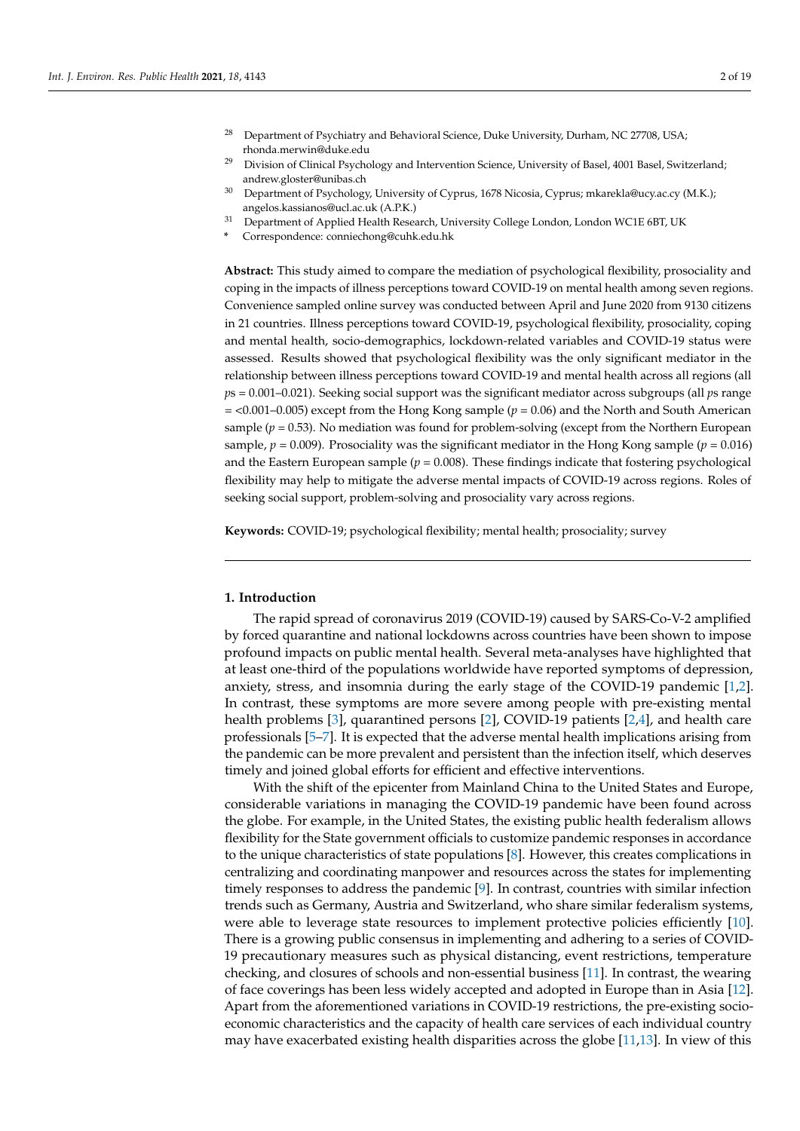- <sup>28</sup> Department of Psychiatry and Behavioral Science, Duke University, Durham, NC 27708, USA; rhonda.merwin@duke.edu
- <sup>29</sup> Division of Clinical Psychology and Intervention Science, University of Basel, 4001 Basel, Switzerland; andrew.gloster@unibas.ch
- <sup>30</sup> Department of Psychology, University of Cyprus, 1678 Nicosia, Cyprus; mkarekla@ucy.ac.cy (M.K.); angelos.kassianos@ucl.ac.uk (A.P.K.)
- <sup>31</sup> Department of Applied Health Research, University College London, London WC1E 6BT, UK
- **\*** Correspondence: conniechong@cuhk.edu.hk

**Abstract:** This study aimed to compare the mediation of psychological flexibility, prosociality and coping in the impacts of illness perceptions toward COVID-19 on mental health among seven regions. Convenience sampled online survey was conducted between April and June 2020 from 9130 citizens in 21 countries. Illness perceptions toward COVID-19, psychological flexibility, prosociality, coping and mental health, socio-demographics, lockdown-related variables and COVID-19 status were assessed. Results showed that psychological flexibility was the only significant mediator in the relationship between illness perceptions toward COVID-19 and mental health across all regions (all *p*s = 0.001–0.021). Seeking social support was the significant mediator across subgroups (all *p*s range  $=$  <0.001–0.005) except from the Hong Kong sample ( $p = 0.06$ ) and the North and South American sample ( $p = 0.53$ ). No mediation was found for problem-solving (except from the Northern European sample,  $p = 0.009$ ). Prosociality was the significant mediator in the Hong Kong sample ( $p = 0.016$ ) and the Eastern European sample ( $p = 0.008$ ). These findings indicate that fostering psychological flexibility may help to mitigate the adverse mental impacts of COVID-19 across regions. Roles of seeking social support, problem-solving and prosociality vary across regions.

**Keywords:** COVID-19; psychological flexibility; mental health; prosociality; survey

### **1. Introduction**

The rapid spread of coronavirus 2019 (COVID-19) caused by SARS-Co-V-2 amplified by forced quarantine and national lockdowns across countries have been shown to impose profound impacts on public mental health. Several meta-analyses have highlighted that at least one-third of the populations worldwide have reported symptoms of depression, anxiety, stress, and insomnia during the early stage of the COVID-19 pandemic [\[1,](#page-15-0)[2\]](#page-15-1). In contrast, these symptoms are more severe among people with pre-existing mental health problems [\[3\]](#page-15-2), quarantined persons [\[2\]](#page-15-1), COVID-19 patients [\[2](#page-15-1)[,4\]](#page-16-0), and health care professionals [\[5](#page-16-1)[–7\]](#page-16-2). It is expected that the adverse mental health implications arising from the pandemic can be more prevalent and persistent than the infection itself, which deserves timely and joined global efforts for efficient and effective interventions.

With the shift of the epicenter from Mainland China to the United States and Europe, considerable variations in managing the COVID-19 pandemic have been found across the globe. For example, in the United States, the existing public health federalism allows flexibility for the State government officials to customize pandemic responses in accordance to the unique characteristics of state populations [\[8\]](#page-16-3). However, this creates complications in centralizing and coordinating manpower and resources across the states for implementing timely responses to address the pandemic [\[9\]](#page-16-4). In contrast, countries with similar infection trends such as Germany, Austria and Switzerland, who share similar federalism systems, were able to leverage state resources to implement protective policies efficiently [\[10\]](#page-16-5). There is a growing public consensus in implementing and adhering to a series of COVID-19 precautionary measures such as physical distancing, event restrictions, temperature checking, and closures of schools and non-essential business [\[11\]](#page-16-6). In contrast, the wearing of face coverings has been less widely accepted and adopted in Europe than in Asia [\[12\]](#page-16-7). Apart from the aforementioned variations in COVID-19 restrictions, the pre-existing socioeconomic characteristics and the capacity of health care services of each individual country may have exacerbated existing health disparities across the globe [\[11,](#page-16-6)[13\]](#page-16-8). In view of this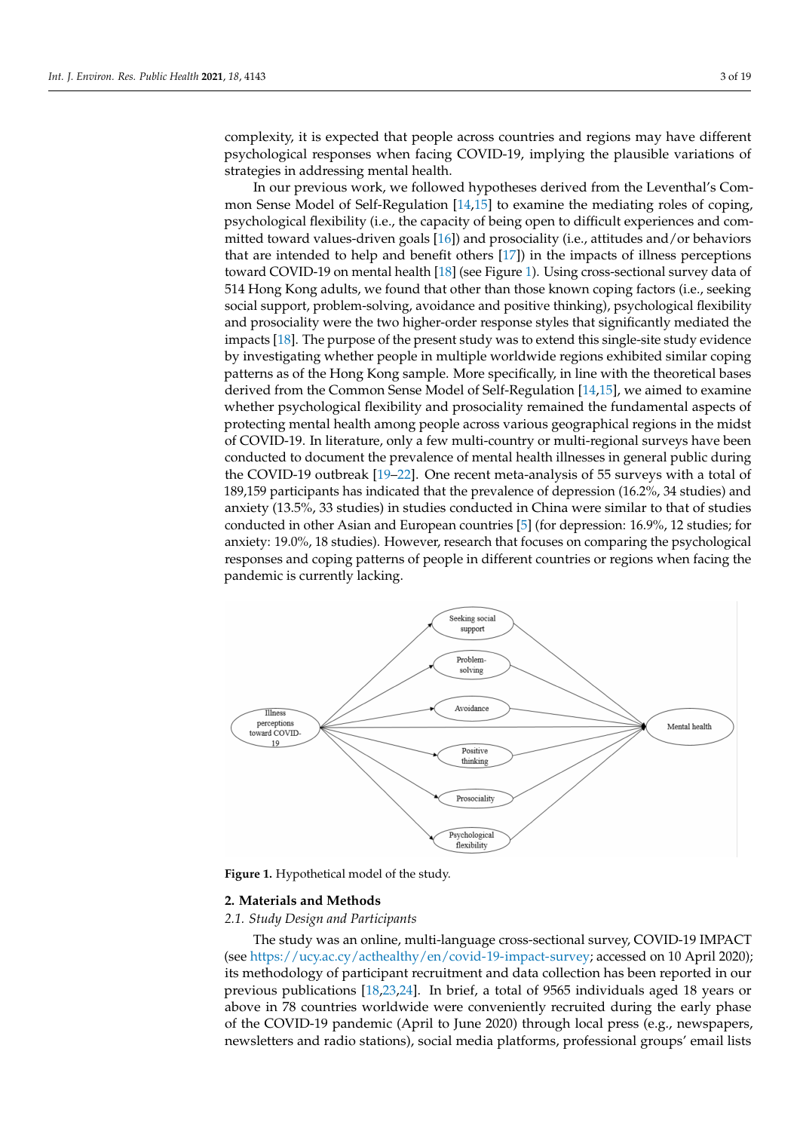complexity, it is expected that people across countries and regions may have different psychological responses when facing COVID-19, implying the plausible variations of strategies in addressing mental health.

In our previous work, we followed hypotheses derived from the Leventhal's Common Sense Model of Self-Regulation [\[14,](#page-16-9)[15\]](#page-16-10) to examine the mediating roles of coping, psychological flexibility (i.e., the capacity of being open to difficult experiences and committed toward values-driven goals [\[16\]](#page-16-11)) and prosociality (i.e., attitudes and/or behaviors that are intended to help and benefit others [\[17\]](#page-16-12)) in the impacts of illness perceptions toward COVID-19 on mental health [\[18\]](#page-16-13) (see Figure [1\)](#page-2-0). Using cross-sectional survey data of 514 Hong Kong adults, we found that other than those known coping factors (i.e., seeking social support, problem-solving, avoidance and positive thinking), psychological flexibility and prosociality were the two higher-order response styles that significantly mediated the impacts [\[18\]](#page-16-13). The purpose of the present study was to extend this single-site study evidence by investigating whether people in multiple worldwide regions exhibited similar coping patterns as of the Hong Kong sample. More specifically, in line with the theoretical bases derived from the Common Sense Model of Self-Regulation [\[14,](#page-16-9)[15\]](#page-16-10), we aimed to examine whether psychological flexibility and prosociality remained the fundamental aspects of protecting mental health among people across various geographical regions in the midst of COVID-19. In literature, only a few multi-country or multi-regional surveys have been conducted to document the prevalence of mental health illnesses in general public during the COVID-19 outbreak [\[19–](#page-16-14)[22\]](#page-16-15). One recent meta-analysis of 55 surveys with a total of 189,159 participants has indicated that the prevalence of depression (16.2%, 34 studies) and anxiety (13.5%, 33 studies) in studies conducted in China were similar to that of studies conducted in other Asian and European countries [\[5\]](#page-16-1) (for depression: 16.9%, 12 studies; for anxiety: 19.0%, 18 studies). However, research that focuses on comparing the psychological responses and coping patterns of people in different countries or regions when facing the pandemic is currently lacking.

<span id="page-2-0"></span>

**Figure 1.** Hypothetical model of the study.

#### **2. Materials and Methods**

*2.1. Study Design and Participants*

The study was an online, multi-language cross-sectional survey, COVID-19 IMPACT (see [https://ucy.ac.cy/acthealthy/en/covid-19-impact-survey;](https://ucy.ac.cy/acthealthy/en/covid-19-impact-survey) accessed on 10 April 2020); its methodology of participant recruitment and data collection has been reported in our previous publications [\[18](#page-16-13)[,23](#page-16-16)[,24\]](#page-16-17). In brief, a total of 9565 individuals aged 18 years or above in 78 countries worldwide were conveniently recruited during the early phase of the COVID-19 pandemic (April to June 2020) through local press (e.g., newspapers, newsletters and radio stations), social media platforms, professional groups' email lists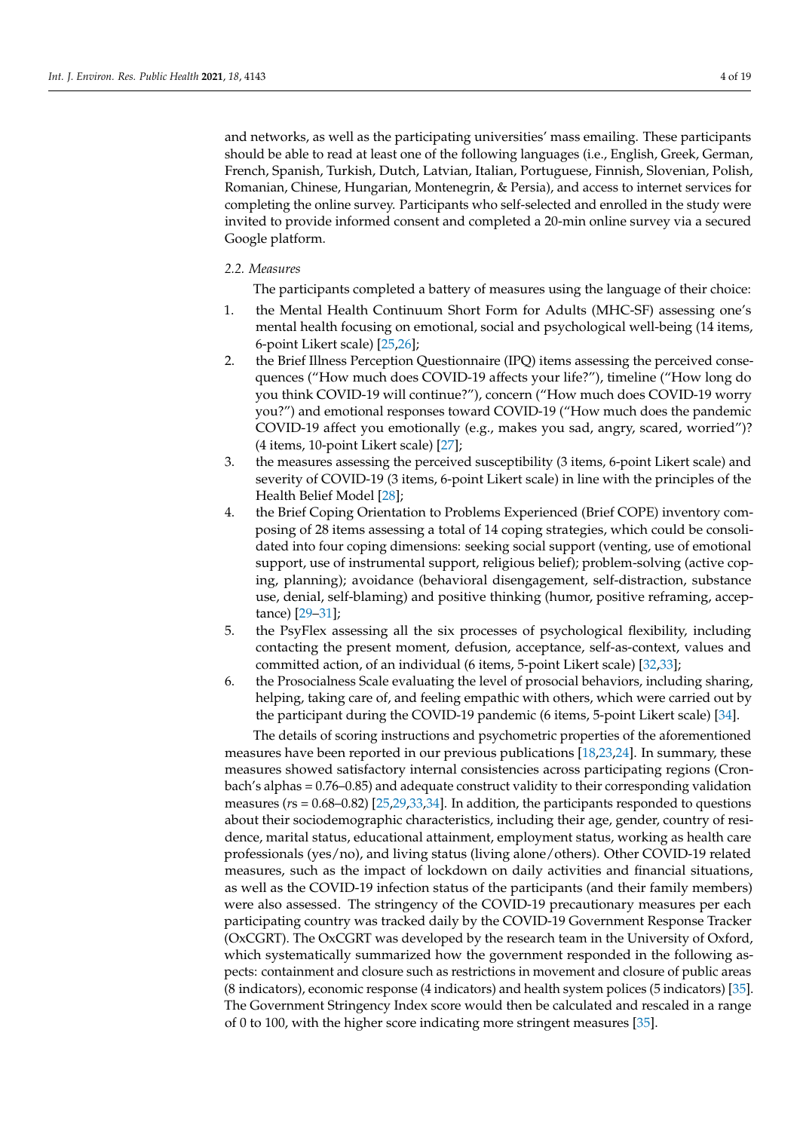and networks, as well as the participating universities' mass emailing. These participants should be able to read at least one of the following languages (i.e., English, Greek, German, French, Spanish, Turkish, Dutch, Latvian, Italian, Portuguese, Finnish, Slovenian, Polish, Romanian, Chinese, Hungarian, Montenegrin, & Persia), and access to internet services for completing the online survey. Participants who self-selected and enrolled in the study were invited to provide informed consent and completed a 20-min online survey via a secured Google platform.

#### *2.2. Measures*

The participants completed a battery of measures using the language of their choice:

- 1. the Mental Health Continuum Short Form for Adults (MHC-SF) assessing one's mental health focusing on emotional, social and psychological well-being (14 items, 6-point Likert scale) [\[25](#page-16-18)[,26\]](#page-17-0);
- 2. the Brief Illness Perception Questionnaire (IPQ) items assessing the perceived consequences ("How much does COVID-19 affects your life?"), timeline ("How long do you think COVID-19 will continue?"), concern ("How much does COVID-19 worry you?") and emotional responses toward COVID-19 ("How much does the pandemic COVID-19 affect you emotionally (e.g., makes you sad, angry, scared, worried")? (4 items, 10-point Likert scale) [\[27\]](#page-17-1);
- 3. the measures assessing the perceived susceptibility (3 items, 6-point Likert scale) and severity of COVID-19 (3 items, 6-point Likert scale) in line with the principles of the Health Belief Model [\[28\]](#page-17-2);
- 4. the Brief Coping Orientation to Problems Experienced (Brief COPE) inventory composing of 28 items assessing a total of 14 coping strategies, which could be consolidated into four coping dimensions: seeking social support (venting, use of emotional support, use of instrumental support, religious belief); problem-solving (active coping, planning); avoidance (behavioral disengagement, self-distraction, substance use, denial, self-blaming) and positive thinking (humor, positive reframing, acceptance) [\[29–](#page-17-3)[31\]](#page-17-4);
- 5. the PsyFlex assessing all the six processes of psychological flexibility, including contacting the present moment, defusion, acceptance, self-as-context, values and committed action, of an individual (6 items, 5-point Likert scale) [\[32,](#page-17-5)[33\]](#page-17-6);
- 6. the Prosocialness Scale evaluating the level of prosocial behaviors, including sharing, helping, taking care of, and feeling empathic with others, which were carried out by the participant during the COVID-19 pandemic (6 items, 5-point Likert scale) [\[34\]](#page-17-7).

The details of scoring instructions and psychometric properties of the aforementioned measures have been reported in our previous publications [\[18](#page-16-13)[,23](#page-16-16)[,24\]](#page-16-17). In summary, these measures showed satisfactory internal consistencies across participating regions (Cronbach's alphas = 0.76–0.85) and adequate construct validity to their corresponding validation measures (*r*s = 0.68–0.82) [\[25](#page-16-18)[,29](#page-17-3)[,33](#page-17-6)[,34\]](#page-17-7). In addition, the participants responded to questions about their sociodemographic characteristics, including their age, gender, country of residence, marital status, educational attainment, employment status, working as health care professionals (yes/no), and living status (living alone/others). Other COVID-19 related measures, such as the impact of lockdown on daily activities and financial situations, as well as the COVID-19 infection status of the participants (and their family members) were also assessed. The stringency of the COVID-19 precautionary measures per each participating country was tracked daily by the COVID-19 Government Response Tracker (OxCGRT). The OxCGRT was developed by the research team in the University of Oxford, which systematically summarized how the government responded in the following aspects: containment and closure such as restrictions in movement and closure of public areas (8 indicators), economic response (4 indicators) and health system polices (5 indicators) [\[35\]](#page-17-8). The Government Stringency Index score would then be calculated and rescaled in a range of 0 to 100, with the higher score indicating more stringent measures [\[35\]](#page-17-8).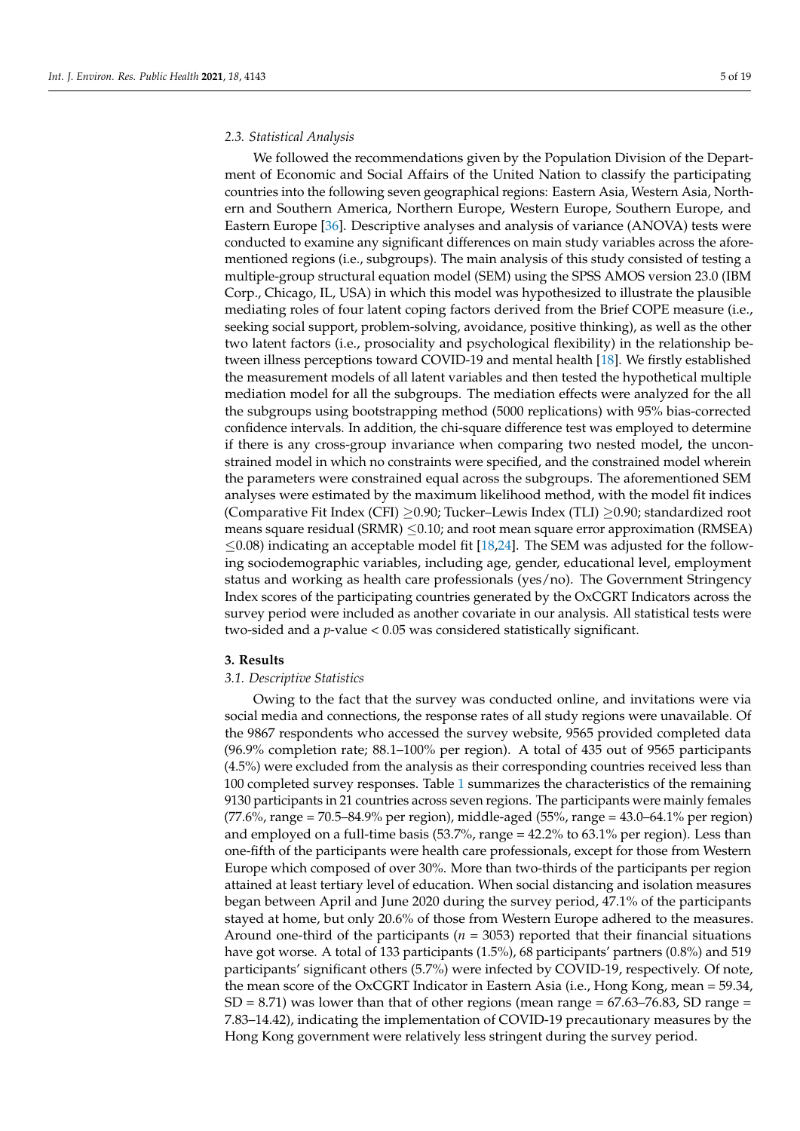#### *2.3. Statistical Analysis*

We followed the recommendations given by the Population Division of the Department of Economic and Social Affairs of the United Nation to classify the participating countries into the following seven geographical regions: Eastern Asia, Western Asia, Northern and Southern America, Northern Europe, Western Europe, Southern Europe, and Eastern Europe [\[36\]](#page-17-9). Descriptive analyses and analysis of variance (ANOVA) tests were conducted to examine any significant differences on main study variables across the aforementioned regions (i.e., subgroups). The main analysis of this study consisted of testing a multiple-group structural equation model (SEM) using the SPSS AMOS version 23.0 (IBM Corp., Chicago, IL, USA) in which this model was hypothesized to illustrate the plausible mediating roles of four latent coping factors derived from the Brief COPE measure (i.e., seeking social support, problem-solving, avoidance, positive thinking), as well as the other two latent factors (i.e., prosociality and psychological flexibility) in the relationship between illness perceptions toward COVID-19 and mental health [\[18\]](#page-16-13). We firstly established the measurement models of all latent variables and then tested the hypothetical multiple mediation model for all the subgroups. The mediation effects were analyzed for the all the subgroups using bootstrapping method (5000 replications) with 95% bias-corrected confidence intervals. In addition, the chi-square difference test was employed to determine if there is any cross-group invariance when comparing two nested model, the unconstrained model in which no constraints were specified, and the constrained model wherein the parameters were constrained equal across the subgroups. The aforementioned SEM analyses were estimated by the maximum likelihood method, with the model fit indices (Comparative Fit Index (CFI) ≥0.90; Tucker–Lewis Index (TLI) ≥0.90; standardized root means square residual (SRMR)  $\leq$ 0.10; and root mean square error approximation (RMSEA)  $\leq$ 0.08) indicating an acceptable model fit [\[18,](#page-16-13)[24\]](#page-16-17). The SEM was adjusted for the following sociodemographic variables, including age, gender, educational level, employment status and working as health care professionals (yes/no). The Government Stringency Index scores of the participating countries generated by the OxCGRT Indicators across the survey period were included as another covariate in our analysis. All statistical tests were two-sided and a *p*-value < 0.05 was considered statistically significant.

## **3. Results**

#### *3.1. Descriptive Statistics*

Owing to the fact that the survey was conducted online, and invitations were via social media and connections, the response rates of all study regions were unavailable. Of the 9867 respondents who accessed the survey website, 9565 provided completed data (96.9% completion rate; 88.1–100% per region). A total of 435 out of 9565 participants (4.5%) were excluded from the analysis as their corresponding countries received less than 100 completed survey responses. Table [1](#page-8-0) summarizes the characteristics of the remaining 9130 participants in 21 countries across seven regions. The participants were mainly females (77.6%, range = 70.5–84.9% per region), middle-aged (55%, range = 43.0–64.1% per region) and employed on a full-time basis (53.7%, range = 42.2% to 63.1% per region). Less than one-fifth of the participants were health care professionals, except for those from Western Europe which composed of over 30%. More than two-thirds of the participants per region attained at least tertiary level of education. When social distancing and isolation measures began between April and June 2020 during the survey period, 47.1% of the participants stayed at home, but only 20.6% of those from Western Europe adhered to the measures. Around one-third of the participants ( $n = 3053$ ) reported that their financial situations have got worse. A total of 133 participants (1.5%), 68 participants' partners (0.8%) and 519 participants' significant others (5.7%) were infected by COVID-19, respectively. Of note, the mean score of the OxCGRT Indicator in Eastern Asia (i.e., Hong Kong, mean = 59.34,  $SD = 8.71$ ) was lower than that of other regions (mean range  $= 67.63 - 76.83$ , SD range  $=$ 7.83–14.42), indicating the implementation of COVID-19 precautionary measures by the Hong Kong government were relatively less stringent during the survey period.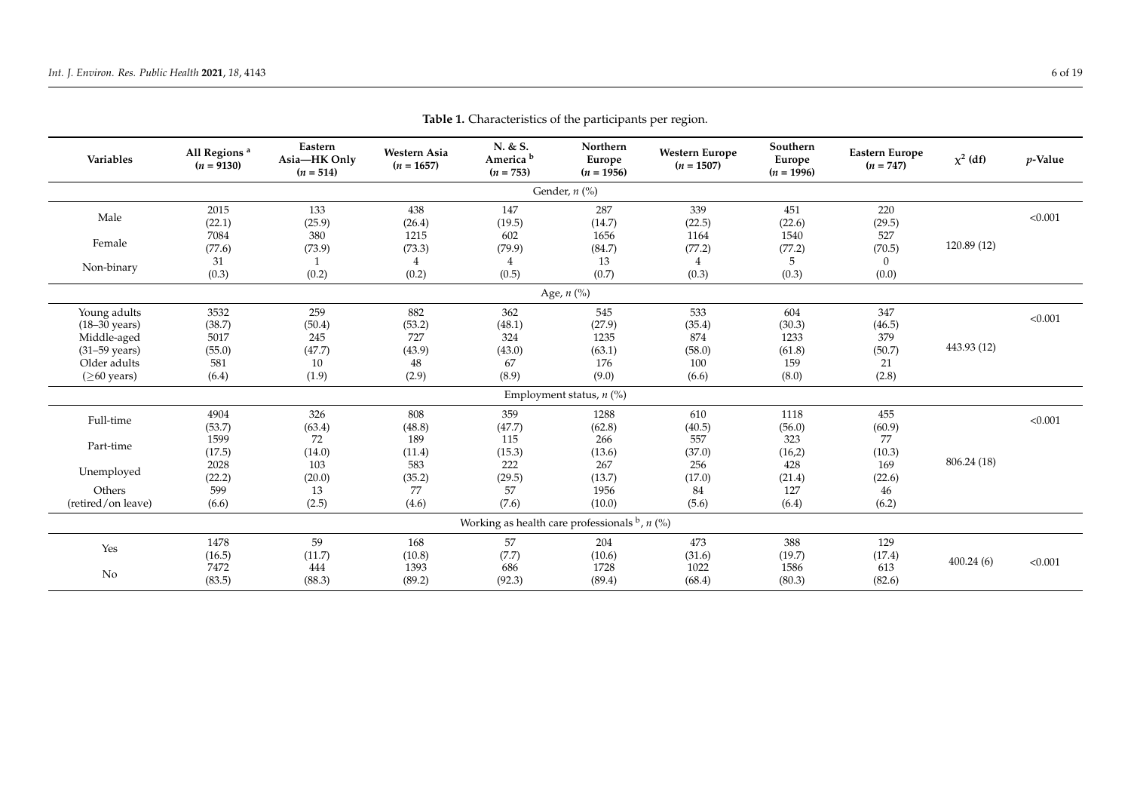| Variables                               | All Regions <sup>a</sup><br>$(n = 9130)$ | Eastern<br>Asia-HK Only<br>$(n = 514)$ | Western Asia<br>$(n = 1657)$ | N. & S.<br>America <sup>b</sup><br>$(n = 753)$         | Northern<br>Europe<br>$(n = 1956)$ | <b>Western Europe</b><br>$(n = 1507)$ | Southern<br>Europe<br>$(n = 1996)$ | <b>Eastern Europe</b><br>$(n = 747)$ | $\chi^2$ (df) | $p$ -Value |  |
|-----------------------------------------|------------------------------------------|----------------------------------------|------------------------------|--------------------------------------------------------|------------------------------------|---------------------------------------|------------------------------------|--------------------------------------|---------------|------------|--|
|                                         |                                          |                                        |                              |                                                        | Gender, $n$ (%)                    |                                       |                                    |                                      |               |            |  |
| Male                                    | 2015<br>(22.1)                           | 133<br>(25.9)                          | 438<br>(26.4)                | 147<br>(19.5)                                          | 287<br>(14.7)                      | 339<br>(22.5)                         | 451<br>(22.6)                      | 220<br>(29.5)                        |               | < 0.001    |  |
| Female                                  | 7084<br>(77.6)                           | 380<br>(73.9)                          | 1215<br>(73.3)               | 602<br>(79.9)                                          | 1656<br>(84.7)                     | 1164<br>(77.2)                        | 1540<br>(77.2)                     | 527<br>(70.5)                        | 120.89 (12)   |            |  |
| Non-binary                              | 31<br>(0.3)                              | (0.2)                                  | 4<br>(0.2)                   | 4<br>(0.5)                                             | 13<br>(0.7)                        | 4<br>(0.3)                            | 5<br>(0.3)                         | $\Omega$<br>(0.0)                    |               |            |  |
| Age, $n$ (%)                            |                                          |                                        |                              |                                                        |                                    |                                       |                                    |                                      |               |            |  |
| Young adults<br>$(18-30 \text{ years})$ | 3532<br>(38.7)                           | 259<br>(50.4)                          | 882<br>(53.2)                | 362<br>(48.1)                                          | 545<br>(27.9)                      | 533<br>(35.4)                         | 604<br>(30.3)                      | 347<br>(46.5)                        |               | < 0.001    |  |
| Middle-aged<br>$(31-59 \text{ years})$  | 5017<br>(55.0)                           | 245<br>(47.7)                          | 727<br>(43.9)                | 324<br>(43.0)                                          | 1235<br>(63.1)                     | 874<br>(58.0)                         | 1233<br>(61.8)                     | 379<br>(50.7)                        | 443.93 (12)   |            |  |
| Older adults<br>$($ >60 years)          | 581<br>(6.4)                             | 10<br>(1.9)                            | 48<br>(2.9)                  | 67<br>(8.9)                                            | 176<br>(9.0)                       | 100<br>(6.6)                          | 159<br>(8.0)                       | 21<br>(2.8)                          |               |            |  |
|                                         |                                          |                                        |                              |                                                        | Employment status, $n$ (%)         |                                       |                                    |                                      |               |            |  |
| Full-time                               | 4904<br>(53.7)                           | 326<br>(63.4)                          | 808<br>(48.8)                | 359<br>(47.7)                                          | 1288<br>(62.8)                     | 610<br>(40.5)                         | 1118<br>(56.0)                     | 455<br>(60.9)                        |               | < 0.001    |  |
| Part-time                               | 1599<br>(17.5)                           | 72<br>(14.0)                           | 189<br>(11.4)                | 115<br>(15.3)                                          | 266<br>(13.6)                      | 557<br>(37.0)                         | 323<br>(16,2)                      | 77<br>(10.3)                         |               |            |  |
| Unemployed                              | 2028<br>(22.2)                           | 103<br>(20.0)                          | 583<br>(35.2)                | 222<br>(29.5)                                          | 267<br>(13.7)                      | 256<br>(17.0)                         | 428<br>(21.4)                      | 169<br>(22.6)                        | 806.24 (18)   |            |  |
| Others<br>(retired/on leave)            | 599<br>(6.6)                             | 13<br>(2.5)                            | 77<br>(4.6)                  | 57<br>(7.6)                                            | 1956<br>(10.0)                     | 84<br>(5.6)                           | 127<br>(6.4)                       | 46<br>(6.2)                          |               |            |  |
|                                         |                                          |                                        |                              | Working as health care professionals $\flat$ , $n$ (%) |                                    |                                       |                                    |                                      |               |            |  |
| Yes                                     | 1478<br>(16.5)                           | 59<br>(11.7)                           | 168<br>(10.8)                | 57<br>(7.7)                                            | 204<br>(10.6)                      | 473<br>(31.6)                         | 388<br>(19.7)                      | 129<br>(17.4)                        |               |            |  |
| No                                      | 7472<br>(83.5)                           | 444<br>(88.3)                          | 1393<br>(89.2)               | 686<br>(92.3)                                          | 1728<br>(89.4)                     | 1022<br>(68.4)                        | 1586<br>(80.3)                     | 613<br>(82.6)                        | 400.24(6)     | < 0.001    |  |

**Table 1.** Characteristics of the participants per region.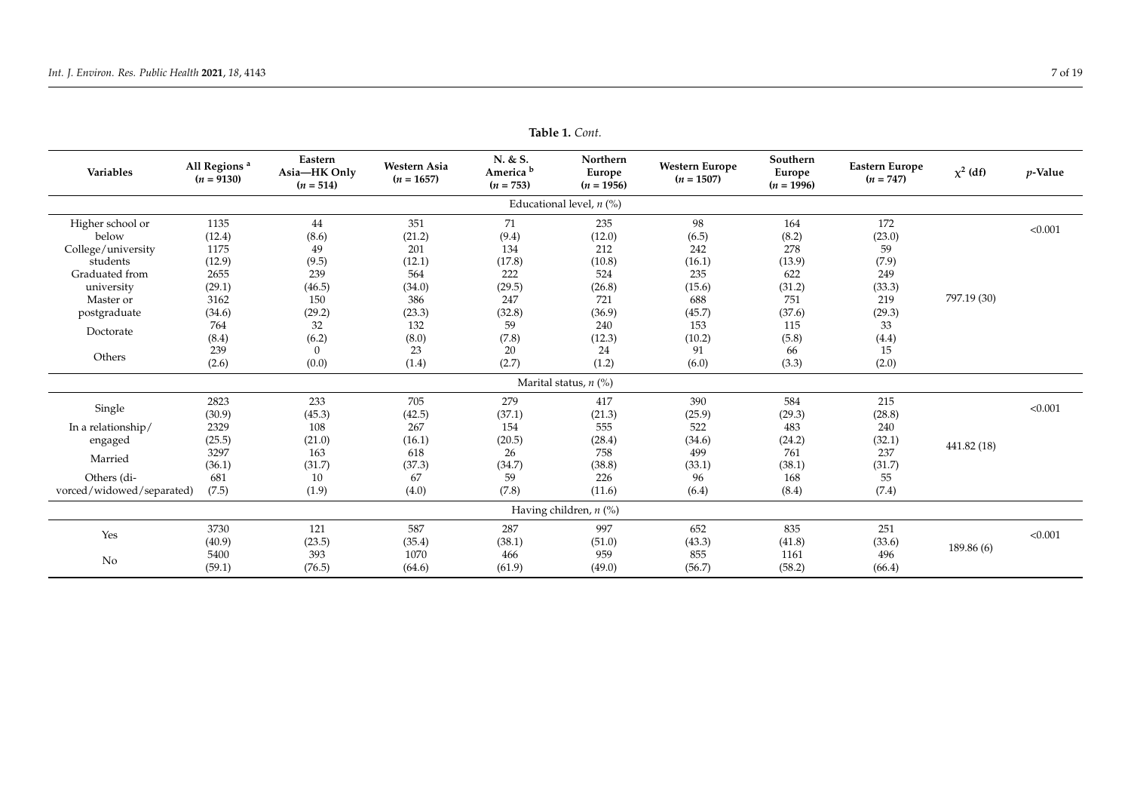| Variables                 | Eastern<br>All Regions <sup>a</sup><br>Asia-HK Only<br>$(n = 9130)$<br>$(n = 514)$ |                | <b>Western Asia</b><br>$(n = 1657)$ | N. & S.<br>America <sup>b</sup><br>$(n = 753)$ | Northern<br>Europe<br>$(n = 1956)$ | <b>Western Europe</b><br>$(n = 1507)$ | Southern<br>Europe<br>$(n = 1996)$ | <b>Eastern Europe</b><br>$(n = 747)$ | $\chi^2$ (df) | $p$ -Value |
|---------------------------|------------------------------------------------------------------------------------|----------------|-------------------------------------|------------------------------------------------|------------------------------------|---------------------------------------|------------------------------------|--------------------------------------|---------------|------------|
|                           |                                                                                    |                |                                     |                                                | Educational level, $n$ (%)         |                                       |                                    |                                      |               |            |
| Higher school or          | 1135                                                                               | 44             | 351                                 | 71                                             | 235                                | 98                                    | 164                                | 172                                  |               | < 0.001    |
| below                     | (12.4)                                                                             | (8.6)          | (21.2)                              | (9.4)                                          | (12.0)                             | (6.5)                                 | (8.2)                              | (23.0)                               |               |            |
| College/university        | 1175                                                                               | 49             | 201                                 | 134                                            | 212                                | 242                                   | 278                                | 59                                   |               |            |
| students                  | (12.9)                                                                             | (9.5)          | (12.1)                              | (17.8)                                         | (10.8)                             | (16.1)                                | (13.9)                             | (7.9)                                |               |            |
| Graduated from            | 2655                                                                               | 239            | 564                                 | 222                                            | 524                                | 235                                   | 622                                | 249                                  |               |            |
| university                | (29.1)                                                                             | (46.5)         | (34.0)                              | (29.5)                                         | (26.8)                             | (15.6)                                | (31.2)                             | (33.3)                               |               |            |
| Master or                 | 3162                                                                               | 150            | 386                                 | 247                                            | 721                                | 688                                   | 751                                | 219                                  | 797.19 (30)   |            |
| postgraduate              | (34.6)                                                                             | (29.2)         | (23.3)                              | (32.8)                                         | (36.9)                             | (45.7)                                | (37.6)                             | (29.3)                               |               |            |
| Doctorate                 | 764                                                                                | 32             | 132                                 | 59                                             | 240                                | 153                                   | 115                                | 33                                   |               |            |
|                           | (8.4)                                                                              | (6.2)          | (8.0)                               | (7.8)                                          | (12.3)                             | (10.2)                                | (5.8)                              | (4.4)                                |               |            |
| Others                    | 239                                                                                | $\overline{0}$ | 23                                  | 20                                             | 24                                 | 91                                    | 66                                 | 15                                   |               |            |
|                           | (2.6)                                                                              | (0.0)          | (1.4)                               | (2.7)                                          | (1.2)                              | (6.0)                                 | (3.3)                              | (2.0)                                |               |            |
|                           |                                                                                    |                |                                     |                                                | Marital status, $n$ (%)            |                                       |                                    |                                      |               |            |
|                           | 2823                                                                               | 233            | 705                                 | 279                                            | 417                                | 390                                   | 584                                | 215                                  |               |            |
| Single                    | (30.9)                                                                             | (45.3)         | (42.5)                              | (37.1)                                         | (21.3)                             | (25.9)                                | (29.3)                             | (28.8)                               |               | < 0.001    |
| In a relationship/        | 2329                                                                               | 108            | 267                                 | 154                                            | 555                                | 522                                   | 483                                | 240                                  |               |            |
| engaged                   | (25.5)                                                                             | (21.0)         | (16.1)                              | (20.5)                                         | (28.4)                             | (34.6)                                | (24.2)                             | (32.1)                               | 441.82 (18)   |            |
|                           | 3297                                                                               | 163            | 618                                 | 26                                             | 758                                | 499                                   | 761                                | 237                                  |               |            |
| Married                   | (36.1)                                                                             | (31.7)         | (37.3)                              | (34.7)                                         | (38.8)                             | (33.1)                                | (38.1)                             | (31.7)                               |               |            |
| Others (di-               | 681                                                                                | 10             | 67                                  | 59                                             | 226                                | 96                                    | 168                                | 55                                   |               |            |
| vorced/widowed/separated) | (7.5)                                                                              | (1.9)          | (4.0)                               | (7.8)                                          | (11.6)                             | (6.4)                                 | (8.4)                              | (7.4)                                |               |            |
|                           |                                                                                    |                |                                     |                                                | Having children, $n$ (%)           |                                       |                                    |                                      |               |            |
|                           | 3730                                                                               | 121            | 587                                 | 287                                            | 997                                | 652                                   | 835                                | 251                                  |               | < 0.001    |
| Yes                       | (40.9)                                                                             | (23.5)         | (35.4)                              | (38.1)                                         | (51.0)                             | (43.3)                                | (41.8)                             | (33.6)                               |               |            |
|                           | 5400                                                                               | 393            | 1070                                | 466                                            | 959                                | 855                                   | 1161                               | 496                                  | 189.86 (6)    |            |
| No                        | (59.1)                                                                             | (76.5)         | (64.6)                              | (61.9)                                         | (49.0)                             | (56.7)                                | (58.2)                             | (66.4)                               |               |            |

**Table 1.** *Cont.*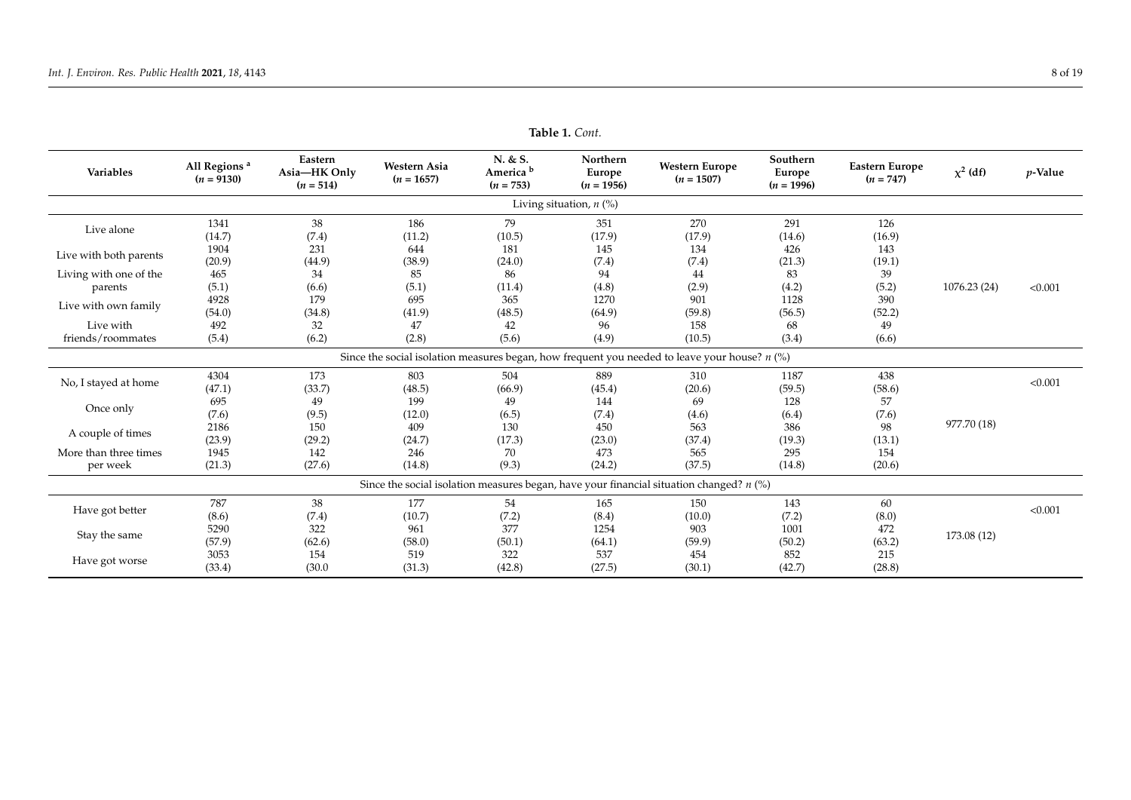| Variables                         | Eastern<br>All Regions <sup>a</sup><br>Western Asia<br>Asia-HK Only<br>$(n = 9130)$<br>$(n = 1657)$<br>$(n = 514)$ |               | N. & S.<br>America <sup>b</sup><br>$(n = 753)$ | Northern<br>Europe<br>$(n = 1956)$ | <b>Western Europe</b><br>$(n = 1507)$ | Southern<br>Europe<br>$(n = 1996)$                                                              | <b>Eastern Europe</b><br>$(n = 747)$ | $\chi^2$ (df) | $p$ -Value   |         |
|-----------------------------------|--------------------------------------------------------------------------------------------------------------------|---------------|------------------------------------------------|------------------------------------|---------------------------------------|-------------------------------------------------------------------------------------------------|--------------------------------------|---------------|--------------|---------|
|                                   |                                                                                                                    |               |                                                |                                    | Living situation, $n$ (%)             |                                                                                                 |                                      |               |              |         |
| Live alone                        | 1341<br>(14.7)                                                                                                     | 38<br>(7.4)   | 186<br>(11.2)                                  | 79<br>(10.5)                       | 351<br>(17.9)                         | 270<br>(17.9)                                                                                   | 291<br>(14.6)                        | 126<br>(16.9) |              |         |
| Live with both parents            | 1904<br>(20.9)                                                                                                     | 231<br>(44.9) | 644<br>(38.9)                                  | 181<br>(24.0)                      | 145<br>(7.4)                          | 134<br>(7.4)                                                                                    | 426<br>(21.3)                        | 143<br>(19.1) |              |         |
| Living with one of the<br>parents | 465<br>(5.1)                                                                                                       | 34<br>(6.6)   | 85<br>(5.1)                                    | 86<br>(11.4)                       | 94<br>(4.8)                           | 44<br>(2.9)                                                                                     | 83<br>(4.2)                          | 39<br>(5.2)   | 1076.23 (24) | < 0.001 |
| Live with own family              | 4928<br>(54.0)                                                                                                     | 179<br>(34.8) | 695<br>(41.9)                                  | 365<br>(48.5)                      | 1270<br>(64.9)                        | 901<br>(59.8)                                                                                   | 1128<br>(56.5)                       | 390<br>(52.2) |              |         |
| Live with<br>friends/roommates    | 492<br>(5.4)                                                                                                       | 32<br>(6.2)   | 47<br>(2.8)                                    | 42<br>(5.6)                        | 96<br>(4.9)                           | 158<br>(10.5)                                                                                   | 68<br>(3.4)                          | 49<br>(6.6)   |              |         |
|                                   |                                                                                                                    |               |                                                |                                    |                                       | Since the social isolation measures began, how frequent you needed to leave your house? $n$ (%) |                                      |               |              |         |
| No, I stayed at home              | 4304<br>(47.1)                                                                                                     | 173<br>(33.7) | 803<br>(48.5)                                  | 504<br>(66.9)                      | 889<br>(45.4)                         | 310<br>(20.6)                                                                                   | 1187<br>(59.5)                       | 438<br>(58.6) |              | < 0.001 |
| Once only                         | 695<br>(7.6)                                                                                                       | 49<br>(9.5)   | 199<br>(12.0)                                  | 49<br>(6.5)                        | 144<br>(7.4)                          | 69<br>(4.6)                                                                                     | 128<br>(6.4)                         | 57<br>(7.6)   |              |         |
| A couple of times                 | 2186<br>(23.9)                                                                                                     | 150<br>(29.2) | 409<br>(24.7)                                  | 130<br>(17.3)                      | 450<br>(23.0)                         | 563<br>(37.4)                                                                                   | 386<br>(19.3)                        | -98<br>(13.1) | 977.70 (18)  |         |
| More than three times<br>per week | 1945<br>(21.3)                                                                                                     | 142<br>(27.6) | 246<br>(14.8)                                  | 70<br>(9.3)                        | 473<br>(24.2)                         | 565<br>(37.5)                                                                                   | 295<br>(14.8)                        | 154<br>(20.6) |              |         |
|                                   |                                                                                                                    |               |                                                |                                    |                                       | Since the social isolation measures began, have your financial situation changed? $n$ (%)       |                                      |               |              |         |
| Have got better                   | 787<br>(8.6)                                                                                                       | 38<br>(7.4)   | 177<br>(10.7)                                  | 54<br>(7.2)                        | 165<br>(8.4)                          | 150<br>(10.0)                                                                                   | 143<br>(7.2)                         | 60<br>(8.0)   |              | < 0.001 |
| Stay the same                     | 5290<br>(57.9)                                                                                                     | 322<br>(62.6) | 961<br>(58.0)                                  | 377<br>(50.1)                      | 1254<br>(64.1)                        | 903<br>(59.9)                                                                                   | 1001<br>(50.2)                       | 472<br>(63.2) | 173.08 (12)  |         |
| Have got worse                    | 3053<br>(33.4)                                                                                                     | 154<br>(30.0) | 519<br>(31.3)                                  | 322<br>(42.8)                      | 537<br>(27.5)                         | 454<br>(30.1)                                                                                   | 852<br>(42.7)                        | 215<br>(28.8) |              |         |

**Table 1.** *Cont.*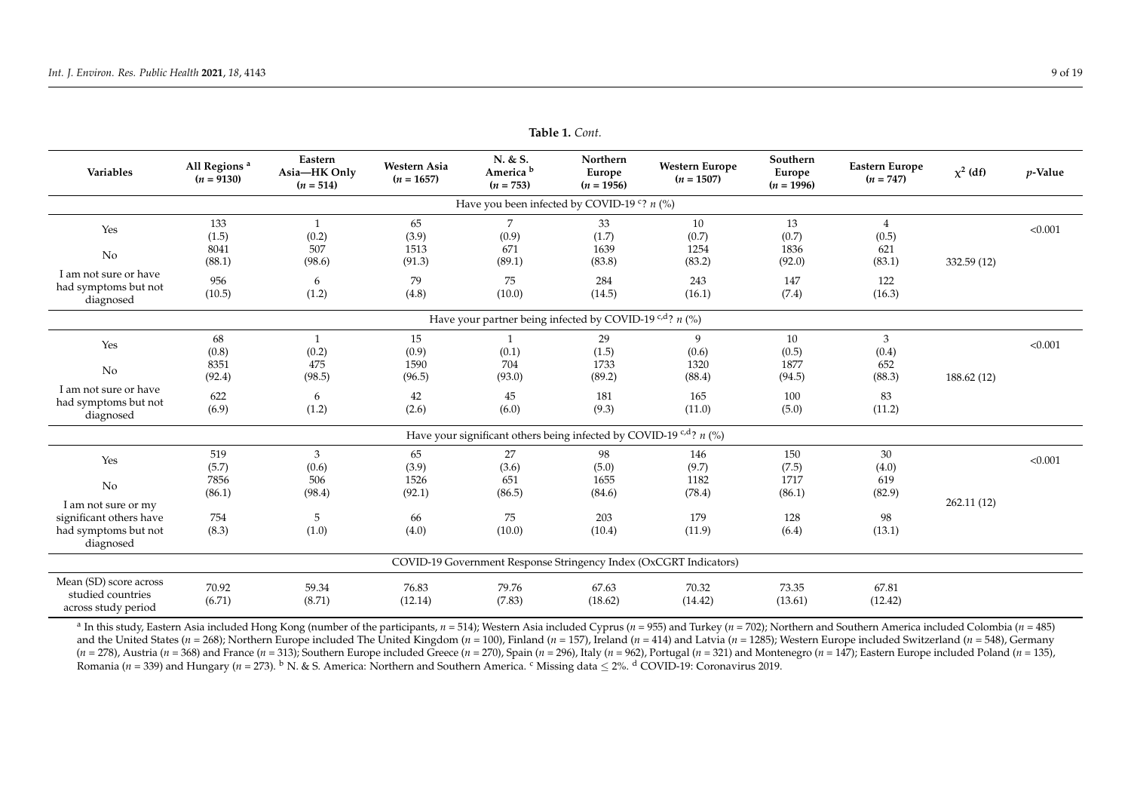| Variables                                                          | All Regions <sup>a</sup><br>$(n = 9130)$ | Eastern<br>Asia-HK Only<br>$(n = 514)$ | <b>Western Asia</b><br>$(n = 1657)$ | N. & S.<br>America <sup>b</sup><br>$(n = 753)$                                   | Northern<br>Europe<br>$(n = 1956)$ | <b>Western Europe</b><br>$(n = 1507)$                             | Southern<br>Europe<br>$(n = 1996)$ | Eastern Europe<br>$(n = 747)$ | $\chi^2$ (df) | $p$ -Value |
|--------------------------------------------------------------------|------------------------------------------|----------------------------------------|-------------------------------------|----------------------------------------------------------------------------------|------------------------------------|-------------------------------------------------------------------|------------------------------------|-------------------------------|---------------|------------|
|                                                                    |                                          |                                        |                                     | Have you been infected by COVID-19 °? $n$ (%)                                    |                                    |                                                                   |                                    |                               |               |            |
| Yes                                                                | 133<br>(1.5)                             | $\mathbf{1}$<br>(0.2)                  | 65<br>(3.9)                         | 7<br>(0.9)                                                                       | 33<br>(1.7)                        | 10<br>(0.7)                                                       | 13<br>(0.7)                        | $\overline{4}$<br>(0.5)       |               | < 0.001    |
| No                                                                 | 8041<br>(88.1)                           | 507<br>(98.6)                          | 1513<br>(91.3)                      | 671<br>(89.1)                                                                    | 1639<br>(83.8)                     | 1254<br>(83.2)                                                    | 1836<br>(92.0)                     | 621<br>(83.1)                 | 332.59 (12)   |            |
| I am not sure or have<br>had symptoms but not<br>diagnosed         | 956<br>(10.5)                            | 6<br>(1.2)                             | 79<br>(4.8)                         | 75<br>(10.0)                                                                     | 284<br>(14.5)                      | 243<br>(16.1)                                                     | 147<br>(7.4)                       | 122<br>(16.3)                 |               |            |
|                                                                    |                                          |                                        |                                     | Have your partner being infected by COVID-19 <sup>c,d</sup> ? $n$ (%)            |                                    |                                                                   |                                    |                               |               |            |
| Yes                                                                | 68<br>(0.8)                              | $\mathbf{1}$<br>(0.2)                  | 15<br>(0.9)                         | (0.1)                                                                            | 29<br>(1.5)                        | 9<br>(0.6)                                                        | 10<br>(0.5)                        | 3<br>(0.4)                    |               | < 0.001    |
| No                                                                 | 8351<br>(92.4)                           | 475<br>(98.5)                          | 1590<br>(96.5)                      | 704<br>(93.0)                                                                    | 1733<br>(89.2)                     | 1320<br>(88.4)                                                    | 1877<br>(94.5)                     | 652<br>(88.3)                 | 188.62 (12)   |            |
| I am not sure or have<br>had symptoms but not<br>diagnosed         | 622<br>(6.9)                             | 6<br>(1.2)                             | 42<br>(2.6)                         | 45<br>(6.0)                                                                      | 181<br>(9.3)                       | 165<br>(11.0)                                                     | 100<br>(5.0)                       | 83<br>(11.2)                  |               |            |
|                                                                    |                                          |                                        |                                     | Have your significant others being infected by COVID-19 <sup>c,d</sup> ? $n$ (%) |                                    |                                                                   |                                    |                               |               |            |
| Yes<br>No                                                          | 519<br>(5.7)<br>7856                     | 3<br>(0.6)<br>506                      | 65<br>(3.9)<br>1526                 | 27<br>(3.6)<br>651                                                               | 98<br>(5.0)<br>1655                | 146<br>(9.7)<br>1182                                              | 150<br>(7.5)<br>1717               | 30<br>(4.0)<br>619            |               | < 0.001    |
| I am not sure or my                                                | (86.1)                                   | (98.4)                                 | (92.1)                              | (86.5)                                                                           | (84.6)                             | (78.4)                                                            | (86.1)                             | (82.9)                        | 262.11(12)    |            |
| significant others have<br>had symptoms but not<br>diagnosed       | 754<br>(8.3)                             | 5<br>(1.0)                             | 66<br>(4.0)                         | 75<br>(10.0)                                                                     | 203<br>(10.4)                      | 179<br>(11.9)                                                     | 128<br>(6.4)                       | 98<br>(13.1)                  |               |            |
|                                                                    |                                          |                                        |                                     |                                                                                  |                                    | COVID-19 Government Response Stringency Index (OxCGRT Indicators) |                                    |                               |               |            |
| Mean (SD) score across<br>studied countries<br>across study period | 70.92<br>(6.71)                          | 59.34<br>(8.71)                        | 76.83<br>(12.14)                    | 79.76<br>(7.83)                                                                  | 67.63<br>(18.62)                   | 70.32<br>(14.42)                                                  | 73.35<br>(13.61)                   | 67.81<br>(12.42)              |               |            |

**Table 1.** *Cont.*

<span id="page-8-0"></span><sup>a</sup> In this study, Eastern Asia included Hong Kong (number of the participants, *n* = 514); Western Asia included Cyprus (*n* = 955) and Turkey (*n* = 702); Northern and Southern America included Colombia (*n* = 485) and the United States (n = 268); Northern Europe included The United Kingdom (n = 100), Finland (n = 157), Ireland (n = 414) and Latvia (n = 1285); Western Europe included Switzerland (n = 548), Germany (n = 278), Austria (n = 368) and France (n = 313); Southern Europe included Greece (n = 270), Spain (n = 296), Italy (n = 962), Portugal (n = 321) and Montenegro (n = 147); Eastern Europe included Poland (n = 135), Romania (*n* = 339) and Hungary (*n* = 273). <sup>b</sup> N. & S. America: Northern and Southern America. <sup>c</sup> Missing data ≤ 2%. <sup>d</sup> COVID-19: Coronavirus 2019.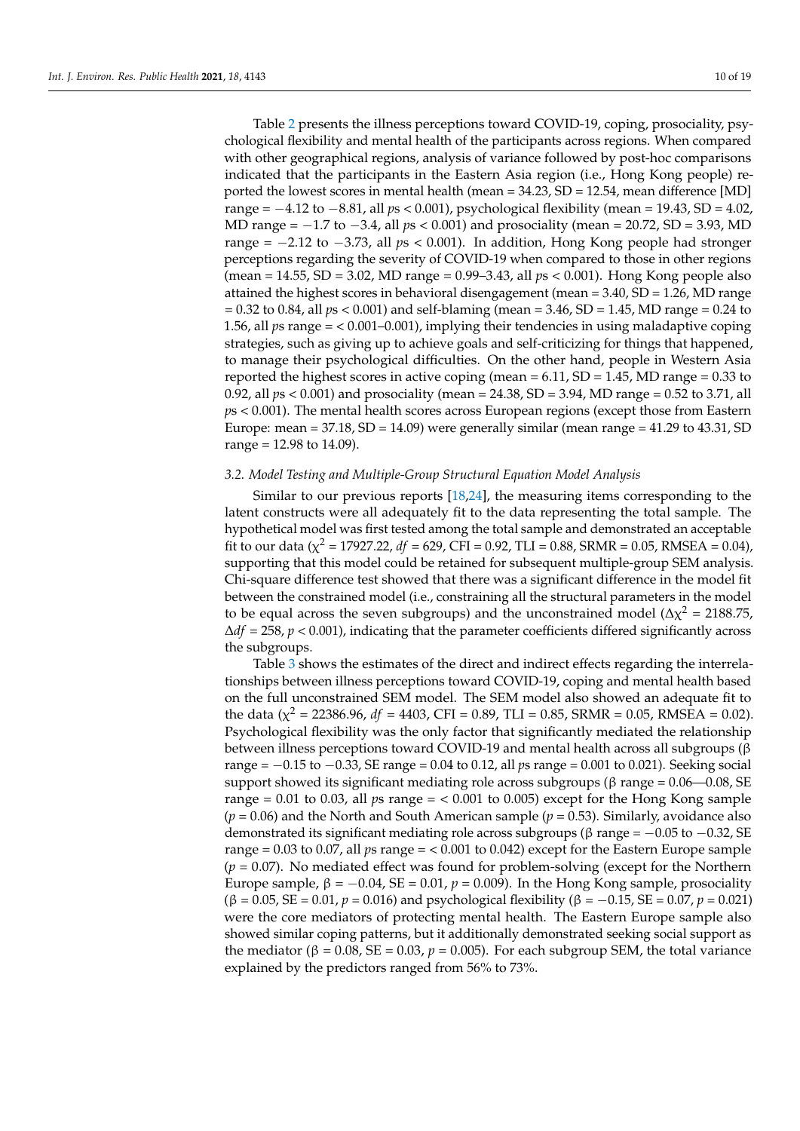Table [2](#page-11-0) presents the illness perceptions toward COVID-19, coping, prosociality, psychological flexibility and mental health of the participants across regions. When compared with other geographical regions, analysis of variance followed by post-hoc comparisons indicated that the participants in the Eastern Asia region (i.e., Hong Kong people) reported the lowest scores in mental health (mean = 34.23, SD = 12.54, mean difference [MD] range = −4.12 to −8.81, all *p*s < 0.001), psychological flexibility (mean = 19.43, SD = 4.02, MD range = −1.7 to −3.4, all *p*s < 0.001) and prosociality (mean = 20.72, SD = 3.93, MD range = −2.12 to −3.73, all *p*s < 0.001). In addition, Hong Kong people had stronger perceptions regarding the severity of COVID-19 when compared to those in other regions (mean = 14.55, SD = 3.02, MD range = 0.99–3.43, all *p*s < 0.001). Hong Kong people also attained the highest scores in behavioral disengagement (mean  $=$  3.40, SD  $=$  1.26, MD range = 0.32 to 0.84, all *p*s < 0.001) and self-blaming (mean = 3.46, SD = 1.45, MD range = 0.24 to 1.56, all *p*s range = < 0.001–0.001), implying their tendencies in using maladaptive coping strategies, such as giving up to achieve goals and self-criticizing for things that happened, to manage their psychological difficulties. On the other hand, people in Western Asia reported the highest scores in active coping (mean  $= 6.11$ , SD  $= 1.45$ , MD range  $= 0.33$  to 0.92, all *p*s < 0.001) and prosociality (mean = 24.38, SD = 3.94, MD range = 0.52 to 3.71, all *p*s < 0.001). The mental health scores across European regions (except those from Eastern Europe: mean =  $37.18$ , SD =  $14.09$ ) were generally similar (mean range =  $41.29$  to  $43.31$ , SD range =  $12.98$  to  $14.09$ ).

## *3.2. Model Testing and Multiple-Group Structural Equation Model Analysis*

Similar to our previous reports [\[18](#page-16-13)[,24\]](#page-16-17), the measuring items corresponding to the latent constructs were all adequately fit to the data representing the total sample. The hypothetical model was first tested among the total sample and demonstrated an acceptable fit to our data ( $\chi^2$  = 17927.22, *df* = 629, CFI = 0.92, TLI = 0.88, SRMR = 0.05, RMSEA = 0.04), supporting that this model could be retained for subsequent multiple-group SEM analysis. Chi-square difference test showed that there was a significant difference in the model fit between the constrained model (i.e., constraining all the structural parameters in the model to be equal across the seven subgroups) and the unconstrained model ( $\Delta \chi^2 = 2188.75$ , ∆*df* = 258, *p* < 0.001), indicating that the parameter coefficients differed significantly across the subgroups.

Table [3](#page-12-0) shows the estimates of the direct and indirect effects regarding the interrelationships between illness perceptions toward COVID-19, coping and mental health based on the full unconstrained SEM model. The SEM model also showed an adequate fit to the data ( $\chi^2$  = 22386.96, *df* = 4403, CFI = 0.89, TLI = 0.85, SRMR = 0.05, RMSEA = 0.02). Psychological flexibility was the only factor that significantly mediated the relationship between illness perceptions toward COVID-19 and mental health across all subgroups (β range = −0.15 to −0.33, SE range = 0.04 to 0.12, all *p*s range = 0.001 to 0.021). Seeking social support showed its significant mediating role across subgroups ( $\beta$  range = 0.06—0.08, SE range = 0.01 to 0.03, all *p*s range = < 0.001 to 0.005) except for the Hong Kong sample  $(p = 0.06)$  and the North and South American sample  $(p = 0.53)$ . Similarly, avoidance also demonstrated its significant mediating role across subgroups ( $\beta$  range =  $-0.05$  to  $-0.32$ , SE range = 0.03 to 0.07, all *p*s range = < 0.001 to 0.042) except for the Eastern Europe sample (*p* = 0.07). No mediated effect was found for problem-solving (except for the Northern Europe sample,  $β = -0.04$ , SE = 0.01,  $p = 0.009$ ). In the Hong Kong sample, prosociality  $(β = 0.05, SE = 0.01, p = 0.016)$  and psychological flexibility  $(β = -0.15, SE = 0.07, p = 0.021)$ were the core mediators of protecting mental health. The Eastern Europe sample also showed similar coping patterns, but it additionally demonstrated seeking social support as the mediator (β = 0.08, SE = 0.03,  $p = 0.005$ ). For each subgroup SEM, the total variance explained by the predictors ranged from 56% to 73%.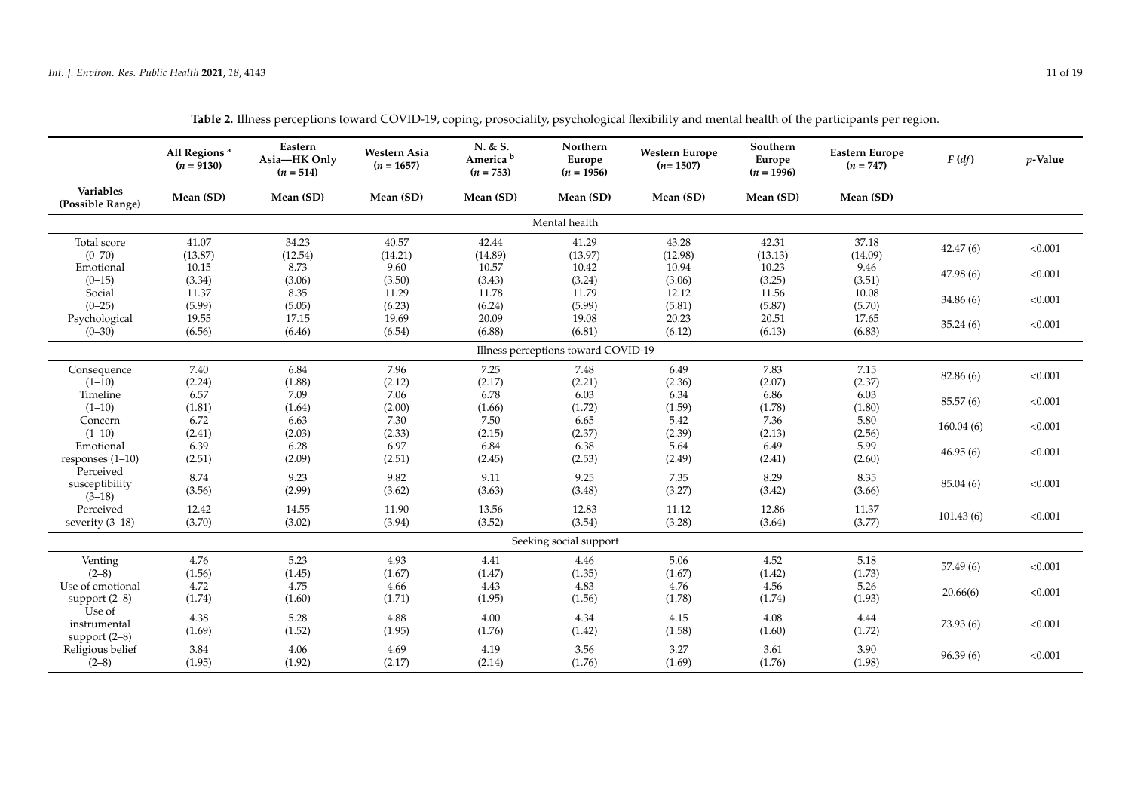| Variables<br>Mean (SD)<br>Mean (SD)<br>Mean (SD)<br>Mean (SD)<br>Mean (SD)<br>Mean (SD)<br>Mean (SD)<br>Mean (SD)<br>(Possible Range)<br>Mental health<br>Total score<br>41.07<br>34.23<br>40.57<br>42.44<br>41.29<br>43.28<br>42.31<br>37.18<br>42.47(6)<br>< 0.001<br>$(0 - 70)$<br>(13.87)<br>(12.54)<br>(14.21)<br>(14.89)<br>(13.97)<br>(12.98)<br>(13.13)<br>(14.09)<br>10.94<br>Emotional<br>10.15<br>8.73<br>9.60<br>10.57<br>10.42<br>10.23<br>9.46<br>47.98(6)<br>< 0.001<br>(3.06)<br>(3.50)<br>(3.43)<br>(3.51)<br>$(0-15)$<br>(3.34)<br>(3.24)<br>(3.06)<br>(3.25)<br>11.37<br>8.35<br>11.29<br>11.78<br>11.79<br>12.12<br>11.56<br>10.08<br>Social<br>< 0.001<br>34.86(6)<br>$(0-25)$<br>(5.99)<br>(5.05)<br>(6.23)<br>(6.24)<br>(5.99)<br>(5.81)<br>(5.70)<br>(5.87)<br>19.69<br>20.09<br>20.23<br>17.65<br>Psychological<br>19.55<br>17.15<br>19.08<br>20.51<br>< 0.001<br>35.24(6)<br>(6.83)<br>$(0 - 30)$<br>(6.56)<br>(6.46)<br>(6.54)<br>(6.88)<br>(6.81)<br>(6.12)<br>(6.13)<br>Illness perceptions toward COVID-19<br>7.40<br>6.84<br>7.96<br>7.48<br>6.49<br>7.83<br>7.15<br>7.25<br>Consequence<br>82.86 (6)<br>< 0.001<br>(2.24)<br>(1.88)<br>(2.17)<br>(2.21)<br>(2.07)<br>(2.37)<br>$(1-10)$<br>(2.12)<br>(2.36)<br>Timeline<br>6.57<br>7.09<br>7.06<br>6.78<br>6.03<br>6.34<br>6.86<br>6.03<br>85.57 (6)<br>< 0.001<br>$(1-10)$<br>(1.81)<br>(1.66)<br>(1.72)<br>(1.59)<br>(1.80)<br>(1.64)<br>(2.00)<br>(1.78)<br>6.72<br>7.50<br>5.42<br>5.80<br>6.63<br>7.30<br>6.65<br>7.36<br>Concern<br>160.04(6)<br>< 0.001<br>(2.41)<br>(2.03)<br>(2.39)<br>(2.56)<br>$(1-10)$<br>(2.33)<br>(2.15)<br>(2.37)<br>(2.13)<br>5.99<br>6.39<br>6.28<br>6.97<br>6.84<br>6.38<br>5.64<br>6.49<br>Emotional<br>< 0.001<br>46.95(6)<br>(2.09)<br>(2.53)<br>responses $(1-10)$<br>(2.51)<br>(2.51)<br>(2.45)<br>(2.49)<br>(2.41)<br>(2.60)<br>Perceived<br>8.74<br>9.23<br>9.82<br>9.25<br>7.35<br>8.29<br>8.35<br>9.11<br>< 0.001<br>susceptibility<br>85.04 (6)<br>(3.56)<br>(2.99)<br>(3.63)<br>(3.27)<br>(3.66)<br>(3.62)<br>(3.48)<br>(3.42)<br>$(3-18)$<br>Perceived<br>12.42<br>11.90<br>13.56<br>12.83<br>11.12<br>14.55<br>12.86<br>11.37<br>101.43(6)<br>< 0.001<br>(3.77)<br>(3.70)<br>(3.02)<br>(3.94)<br>(3.52)<br>(3.54)<br>(3.28)<br>severity (3-18)<br>(3.64)<br>Seeking social support<br>4.76<br>5.23<br>4.93<br>4.41<br>5.06<br>4.52<br>5.18<br>Venting<br>4.46<br>< 0.001<br>57.49(6)<br>(1.45)<br>(1.47)<br>(1.67)<br>(1.73)<br>$(2-8)$<br>(1.56)<br>(1.67)<br>(1.35)<br>(1.42)<br>4.72<br>4.75<br>4.43<br>4.83<br>4.76<br>5.26<br>Use of emotional<br>4.66<br>4.56<br>< 0.001<br>20.66(6)<br>(1.60)<br>(1.95)<br>(1.78)<br>(1.74)<br>(1.71)<br>(1.56)<br>(1.74)<br>(1.93)<br>support $(2-8)$<br>Use of<br>4.38<br>5.28<br>4.88<br>4.00<br>4.15<br>4.08<br>4.34<br>4.44<br>< 0.001<br>73.93(6)<br>instrumental<br>(1.69)<br>(1.52)<br>(1.95)<br>(1.76)<br>(1.42)<br>(1.58)<br>(1.60)<br>(1.72)<br>support $(2-8)$<br>3.84<br>4.06<br>4.69<br>3.56<br>3.27<br>3.90<br>Religious belief<br>4.19<br>3.61<br>< 0.001<br>96.39(6)<br>$(2-8)$<br>(1.95)<br>(1.92)<br>(2.17)<br>(1.76)<br>(1.69)<br>(1.76)<br>(1.98)<br>(2.14) |  | All Regions <sup>a</sup><br>$(n = 9130)$ | Eastern<br>Asia-HK Only<br>$(n = 514)$ | Western Asia<br>$(n = 1657)$ | N. & S.<br>America <sup>b</sup><br>$(n = 753)$ | Northern<br>Europe<br>$(n = 1956)$ | <b>Western Europe</b><br>$(n=1507)$ | Southern<br>Europe<br>$(n = 1996)$ | <b>Eastern Europe</b><br>$(n = 747)$ | F(df) | $p$ -Value |  |
|--------------------------------------------------------------------------------------------------------------------------------------------------------------------------------------------------------------------------------------------------------------------------------------------------------------------------------------------------------------------------------------------------------------------------------------------------------------------------------------------------------------------------------------------------------------------------------------------------------------------------------------------------------------------------------------------------------------------------------------------------------------------------------------------------------------------------------------------------------------------------------------------------------------------------------------------------------------------------------------------------------------------------------------------------------------------------------------------------------------------------------------------------------------------------------------------------------------------------------------------------------------------------------------------------------------------------------------------------------------------------------------------------------------------------------------------------------------------------------------------------------------------------------------------------------------------------------------------------------------------------------------------------------------------------------------------------------------------------------------------------------------------------------------------------------------------------------------------------------------------------------------------------------------------------------------------------------------------------------------------------------------------------------------------------------------------------------------------------------------------------------------------------------------------------------------------------------------------------------------------------------------------------------------------------------------------------------------------------------------------------------------------------------------------------------------------------------------------------------------------------------------------------------------------------------------------------------------------------------------------------------------------------------------------------------------------------------------------------------------------------------------------------------------------------------------------------------------------------------------------------------------------------------------------------------------------------------------------------------------------------------------------------------------------------------------------------------------------------------------------------------------------------------|--|------------------------------------------|----------------------------------------|------------------------------|------------------------------------------------|------------------------------------|-------------------------------------|------------------------------------|--------------------------------------|-------|------------|--|
|                                                                                                                                                                                                                                                                                                                                                                                                                                                                                                                                                                                                                                                                                                                                                                                                                                                                                                                                                                                                                                                                                                                                                                                                                                                                                                                                                                                                                                                                                                                                                                                                                                                                                                                                                                                                                                                                                                                                                                                                                                                                                                                                                                                                                                                                                                                                                                                                                                                                                                                                                                                                                                                                                                                                                                                                                                                                                                                                                                                                                                                                                                                                                        |  |                                          |                                        |                              |                                                |                                    |                                     |                                    |                                      |       |            |  |
|                                                                                                                                                                                                                                                                                                                                                                                                                                                                                                                                                                                                                                                                                                                                                                                                                                                                                                                                                                                                                                                                                                                                                                                                                                                                                                                                                                                                                                                                                                                                                                                                                                                                                                                                                                                                                                                                                                                                                                                                                                                                                                                                                                                                                                                                                                                                                                                                                                                                                                                                                                                                                                                                                                                                                                                                                                                                                                                                                                                                                                                                                                                                                        |  |                                          |                                        |                              |                                                |                                    |                                     |                                    |                                      |       |            |  |
|                                                                                                                                                                                                                                                                                                                                                                                                                                                                                                                                                                                                                                                                                                                                                                                                                                                                                                                                                                                                                                                                                                                                                                                                                                                                                                                                                                                                                                                                                                                                                                                                                                                                                                                                                                                                                                                                                                                                                                                                                                                                                                                                                                                                                                                                                                                                                                                                                                                                                                                                                                                                                                                                                                                                                                                                                                                                                                                                                                                                                                                                                                                                                        |  |                                          |                                        |                              |                                                |                                    |                                     |                                    |                                      |       |            |  |
|                                                                                                                                                                                                                                                                                                                                                                                                                                                                                                                                                                                                                                                                                                                                                                                                                                                                                                                                                                                                                                                                                                                                                                                                                                                                                                                                                                                                                                                                                                                                                                                                                                                                                                                                                                                                                                                                                                                                                                                                                                                                                                                                                                                                                                                                                                                                                                                                                                                                                                                                                                                                                                                                                                                                                                                                                                                                                                                                                                                                                                                                                                                                                        |  |                                          |                                        |                              |                                                |                                    |                                     |                                    |                                      |       |            |  |
|                                                                                                                                                                                                                                                                                                                                                                                                                                                                                                                                                                                                                                                                                                                                                                                                                                                                                                                                                                                                                                                                                                                                                                                                                                                                                                                                                                                                                                                                                                                                                                                                                                                                                                                                                                                                                                                                                                                                                                                                                                                                                                                                                                                                                                                                                                                                                                                                                                                                                                                                                                                                                                                                                                                                                                                                                                                                                                                                                                                                                                                                                                                                                        |  |                                          |                                        |                              |                                                |                                    |                                     |                                    |                                      |       |            |  |
|                                                                                                                                                                                                                                                                                                                                                                                                                                                                                                                                                                                                                                                                                                                                                                                                                                                                                                                                                                                                                                                                                                                                                                                                                                                                                                                                                                                                                                                                                                                                                                                                                                                                                                                                                                                                                                                                                                                                                                                                                                                                                                                                                                                                                                                                                                                                                                                                                                                                                                                                                                                                                                                                                                                                                                                                                                                                                                                                                                                                                                                                                                                                                        |  |                                          |                                        |                              |                                                |                                    |                                     |                                    |                                      |       |            |  |
|                                                                                                                                                                                                                                                                                                                                                                                                                                                                                                                                                                                                                                                                                                                                                                                                                                                                                                                                                                                                                                                                                                                                                                                                                                                                                                                                                                                                                                                                                                                                                                                                                                                                                                                                                                                                                                                                                                                                                                                                                                                                                                                                                                                                                                                                                                                                                                                                                                                                                                                                                                                                                                                                                                                                                                                                                                                                                                                                                                                                                                                                                                                                                        |  |                                          |                                        |                              |                                                |                                    |                                     |                                    |                                      |       |            |  |
|                                                                                                                                                                                                                                                                                                                                                                                                                                                                                                                                                                                                                                                                                                                                                                                                                                                                                                                                                                                                                                                                                                                                                                                                                                                                                                                                                                                                                                                                                                                                                                                                                                                                                                                                                                                                                                                                                                                                                                                                                                                                                                                                                                                                                                                                                                                                                                                                                                                                                                                                                                                                                                                                                                                                                                                                                                                                                                                                                                                                                                                                                                                                                        |  |                                          |                                        |                              |                                                |                                    |                                     |                                    |                                      |       |            |  |
|                                                                                                                                                                                                                                                                                                                                                                                                                                                                                                                                                                                                                                                                                                                                                                                                                                                                                                                                                                                                                                                                                                                                                                                                                                                                                                                                                                                                                                                                                                                                                                                                                                                                                                                                                                                                                                                                                                                                                                                                                                                                                                                                                                                                                                                                                                                                                                                                                                                                                                                                                                                                                                                                                                                                                                                                                                                                                                                                                                                                                                                                                                                                                        |  |                                          |                                        |                              |                                                |                                    |                                     |                                    |                                      |       |            |  |
|                                                                                                                                                                                                                                                                                                                                                                                                                                                                                                                                                                                                                                                                                                                                                                                                                                                                                                                                                                                                                                                                                                                                                                                                                                                                                                                                                                                                                                                                                                                                                                                                                                                                                                                                                                                                                                                                                                                                                                                                                                                                                                                                                                                                                                                                                                                                                                                                                                                                                                                                                                                                                                                                                                                                                                                                                                                                                                                                                                                                                                                                                                                                                        |  |                                          |                                        |                              |                                                |                                    |                                     |                                    |                                      |       |            |  |
|                                                                                                                                                                                                                                                                                                                                                                                                                                                                                                                                                                                                                                                                                                                                                                                                                                                                                                                                                                                                                                                                                                                                                                                                                                                                                                                                                                                                                                                                                                                                                                                                                                                                                                                                                                                                                                                                                                                                                                                                                                                                                                                                                                                                                                                                                                                                                                                                                                                                                                                                                                                                                                                                                                                                                                                                                                                                                                                                                                                                                                                                                                                                                        |  |                                          |                                        |                              |                                                |                                    |                                     |                                    |                                      |       |            |  |
|                                                                                                                                                                                                                                                                                                                                                                                                                                                                                                                                                                                                                                                                                                                                                                                                                                                                                                                                                                                                                                                                                                                                                                                                                                                                                                                                                                                                                                                                                                                                                                                                                                                                                                                                                                                                                                                                                                                                                                                                                                                                                                                                                                                                                                                                                                                                                                                                                                                                                                                                                                                                                                                                                                                                                                                                                                                                                                                                                                                                                                                                                                                                                        |  |                                          |                                        |                              |                                                |                                    |                                     |                                    |                                      |       |            |  |
|                                                                                                                                                                                                                                                                                                                                                                                                                                                                                                                                                                                                                                                                                                                                                                                                                                                                                                                                                                                                                                                                                                                                                                                                                                                                                                                                                                                                                                                                                                                                                                                                                                                                                                                                                                                                                                                                                                                                                                                                                                                                                                                                                                                                                                                                                                                                                                                                                                                                                                                                                                                                                                                                                                                                                                                                                                                                                                                                                                                                                                                                                                                                                        |  |                                          |                                        |                              |                                                |                                    |                                     |                                    |                                      |       |            |  |
|                                                                                                                                                                                                                                                                                                                                                                                                                                                                                                                                                                                                                                                                                                                                                                                                                                                                                                                                                                                                                                                                                                                                                                                                                                                                                                                                                                                                                                                                                                                                                                                                                                                                                                                                                                                                                                                                                                                                                                                                                                                                                                                                                                                                                                                                                                                                                                                                                                                                                                                                                                                                                                                                                                                                                                                                                                                                                                                                                                                                                                                                                                                                                        |  |                                          |                                        |                              |                                                |                                    |                                     |                                    |                                      |       |            |  |
|                                                                                                                                                                                                                                                                                                                                                                                                                                                                                                                                                                                                                                                                                                                                                                                                                                                                                                                                                                                                                                                                                                                                                                                                                                                                                                                                                                                                                                                                                                                                                                                                                                                                                                                                                                                                                                                                                                                                                                                                                                                                                                                                                                                                                                                                                                                                                                                                                                                                                                                                                                                                                                                                                                                                                                                                                                                                                                                                                                                                                                                                                                                                                        |  |                                          |                                        |                              |                                                |                                    |                                     |                                    |                                      |       |            |  |
|                                                                                                                                                                                                                                                                                                                                                                                                                                                                                                                                                                                                                                                                                                                                                                                                                                                                                                                                                                                                                                                                                                                                                                                                                                                                                                                                                                                                                                                                                                                                                                                                                                                                                                                                                                                                                                                                                                                                                                                                                                                                                                                                                                                                                                                                                                                                                                                                                                                                                                                                                                                                                                                                                                                                                                                                                                                                                                                                                                                                                                                                                                                                                        |  |                                          |                                        |                              |                                                |                                    |                                     |                                    |                                      |       |            |  |
|                                                                                                                                                                                                                                                                                                                                                                                                                                                                                                                                                                                                                                                                                                                                                                                                                                                                                                                                                                                                                                                                                                                                                                                                                                                                                                                                                                                                                                                                                                                                                                                                                                                                                                                                                                                                                                                                                                                                                                                                                                                                                                                                                                                                                                                                                                                                                                                                                                                                                                                                                                                                                                                                                                                                                                                                                                                                                                                                                                                                                                                                                                                                                        |  |                                          |                                        |                              |                                                |                                    |                                     |                                    |                                      |       |            |  |
|                                                                                                                                                                                                                                                                                                                                                                                                                                                                                                                                                                                                                                                                                                                                                                                                                                                                                                                                                                                                                                                                                                                                                                                                                                                                                                                                                                                                                                                                                                                                                                                                                                                                                                                                                                                                                                                                                                                                                                                                                                                                                                                                                                                                                                                                                                                                                                                                                                                                                                                                                                                                                                                                                                                                                                                                                                                                                                                                                                                                                                                                                                                                                        |  |                                          |                                        |                              |                                                |                                    |                                     |                                    |                                      |       |            |  |
|                                                                                                                                                                                                                                                                                                                                                                                                                                                                                                                                                                                                                                                                                                                                                                                                                                                                                                                                                                                                                                                                                                                                                                                                                                                                                                                                                                                                                                                                                                                                                                                                                                                                                                                                                                                                                                                                                                                                                                                                                                                                                                                                                                                                                                                                                                                                                                                                                                                                                                                                                                                                                                                                                                                                                                                                                                                                                                                                                                                                                                                                                                                                                        |  |                                          |                                        |                              |                                                |                                    |                                     |                                    |                                      |       |            |  |
|                                                                                                                                                                                                                                                                                                                                                                                                                                                                                                                                                                                                                                                                                                                                                                                                                                                                                                                                                                                                                                                                                                                                                                                                                                                                                                                                                                                                                                                                                                                                                                                                                                                                                                                                                                                                                                                                                                                                                                                                                                                                                                                                                                                                                                                                                                                                                                                                                                                                                                                                                                                                                                                                                                                                                                                                                                                                                                                                                                                                                                                                                                                                                        |  |                                          |                                        |                              |                                                |                                    |                                     |                                    |                                      |       |            |  |
|                                                                                                                                                                                                                                                                                                                                                                                                                                                                                                                                                                                                                                                                                                                                                                                                                                                                                                                                                                                                                                                                                                                                                                                                                                                                                                                                                                                                                                                                                                                                                                                                                                                                                                                                                                                                                                                                                                                                                                                                                                                                                                                                                                                                                                                                                                                                                                                                                                                                                                                                                                                                                                                                                                                                                                                                                                                                                                                                                                                                                                                                                                                                                        |  |                                          |                                        |                              |                                                |                                    |                                     |                                    |                                      |       |            |  |
|                                                                                                                                                                                                                                                                                                                                                                                                                                                                                                                                                                                                                                                                                                                                                                                                                                                                                                                                                                                                                                                                                                                                                                                                                                                                                                                                                                                                                                                                                                                                                                                                                                                                                                                                                                                                                                                                                                                                                                                                                                                                                                                                                                                                                                                                                                                                                                                                                                                                                                                                                                                                                                                                                                                                                                                                                                                                                                                                                                                                                                                                                                                                                        |  |                                          |                                        |                              |                                                |                                    |                                     |                                    |                                      |       |            |  |
|                                                                                                                                                                                                                                                                                                                                                                                                                                                                                                                                                                                                                                                                                                                                                                                                                                                                                                                                                                                                                                                                                                                                                                                                                                                                                                                                                                                                                                                                                                                                                                                                                                                                                                                                                                                                                                                                                                                                                                                                                                                                                                                                                                                                                                                                                                                                                                                                                                                                                                                                                                                                                                                                                                                                                                                                                                                                                                                                                                                                                                                                                                                                                        |  |                                          |                                        |                              |                                                |                                    |                                     |                                    |                                      |       |            |  |
|                                                                                                                                                                                                                                                                                                                                                                                                                                                                                                                                                                                                                                                                                                                                                                                                                                                                                                                                                                                                                                                                                                                                                                                                                                                                                                                                                                                                                                                                                                                                                                                                                                                                                                                                                                                                                                                                                                                                                                                                                                                                                                                                                                                                                                                                                                                                                                                                                                                                                                                                                                                                                                                                                                                                                                                                                                                                                                                                                                                                                                                                                                                                                        |  |                                          |                                        |                              |                                                |                                    |                                     |                                    |                                      |       |            |  |
|                                                                                                                                                                                                                                                                                                                                                                                                                                                                                                                                                                                                                                                                                                                                                                                                                                                                                                                                                                                                                                                                                                                                                                                                                                                                                                                                                                                                                                                                                                                                                                                                                                                                                                                                                                                                                                                                                                                                                                                                                                                                                                                                                                                                                                                                                                                                                                                                                                                                                                                                                                                                                                                                                                                                                                                                                                                                                                                                                                                                                                                                                                                                                        |  |                                          |                                        |                              |                                                |                                    |                                     |                                    |                                      |       |            |  |
|                                                                                                                                                                                                                                                                                                                                                                                                                                                                                                                                                                                                                                                                                                                                                                                                                                                                                                                                                                                                                                                                                                                                                                                                                                                                                                                                                                                                                                                                                                                                                                                                                                                                                                                                                                                                                                                                                                                                                                                                                                                                                                                                                                                                                                                                                                                                                                                                                                                                                                                                                                                                                                                                                                                                                                                                                                                                                                                                                                                                                                                                                                                                                        |  |                                          |                                        |                              |                                                |                                    |                                     |                                    |                                      |       |            |  |
|                                                                                                                                                                                                                                                                                                                                                                                                                                                                                                                                                                                                                                                                                                                                                                                                                                                                                                                                                                                                                                                                                                                                                                                                                                                                                                                                                                                                                                                                                                                                                                                                                                                                                                                                                                                                                                                                                                                                                                                                                                                                                                                                                                                                                                                                                                                                                                                                                                                                                                                                                                                                                                                                                                                                                                                                                                                                                                                                                                                                                                                                                                                                                        |  |                                          |                                        |                              |                                                |                                    |                                     |                                    |                                      |       |            |  |
|                                                                                                                                                                                                                                                                                                                                                                                                                                                                                                                                                                                                                                                                                                                                                                                                                                                                                                                                                                                                                                                                                                                                                                                                                                                                                                                                                                                                                                                                                                                                                                                                                                                                                                                                                                                                                                                                                                                                                                                                                                                                                                                                                                                                                                                                                                                                                                                                                                                                                                                                                                                                                                                                                                                                                                                                                                                                                                                                                                                                                                                                                                                                                        |  |                                          |                                        |                              |                                                |                                    |                                     |                                    |                                      |       |            |  |
|                                                                                                                                                                                                                                                                                                                                                                                                                                                                                                                                                                                                                                                                                                                                                                                                                                                                                                                                                                                                                                                                                                                                                                                                                                                                                                                                                                                                                                                                                                                                                                                                                                                                                                                                                                                                                                                                                                                                                                                                                                                                                                                                                                                                                                                                                                                                                                                                                                                                                                                                                                                                                                                                                                                                                                                                                                                                                                                                                                                                                                                                                                                                                        |  |                                          |                                        |                              |                                                |                                    |                                     |                                    |                                      |       |            |  |
|                                                                                                                                                                                                                                                                                                                                                                                                                                                                                                                                                                                                                                                                                                                                                                                                                                                                                                                                                                                                                                                                                                                                                                                                                                                                                                                                                                                                                                                                                                                                                                                                                                                                                                                                                                                                                                                                                                                                                                                                                                                                                                                                                                                                                                                                                                                                                                                                                                                                                                                                                                                                                                                                                                                                                                                                                                                                                                                                                                                                                                                                                                                                                        |  |                                          |                                        |                              |                                                |                                    |                                     |                                    |                                      |       |            |  |
|                                                                                                                                                                                                                                                                                                                                                                                                                                                                                                                                                                                                                                                                                                                                                                                                                                                                                                                                                                                                                                                                                                                                                                                                                                                                                                                                                                                                                                                                                                                                                                                                                                                                                                                                                                                                                                                                                                                                                                                                                                                                                                                                                                                                                                                                                                                                                                                                                                                                                                                                                                                                                                                                                                                                                                                                                                                                                                                                                                                                                                                                                                                                                        |  |                                          |                                        |                              |                                                |                                    |                                     |                                    |                                      |       |            |  |
|                                                                                                                                                                                                                                                                                                                                                                                                                                                                                                                                                                                                                                                                                                                                                                                                                                                                                                                                                                                                                                                                                                                                                                                                                                                                                                                                                                                                                                                                                                                                                                                                                                                                                                                                                                                                                                                                                                                                                                                                                                                                                                                                                                                                                                                                                                                                                                                                                                                                                                                                                                                                                                                                                                                                                                                                                                                                                                                                                                                                                                                                                                                                                        |  |                                          |                                        |                              |                                                |                                    |                                     |                                    |                                      |       |            |  |
|                                                                                                                                                                                                                                                                                                                                                                                                                                                                                                                                                                                                                                                                                                                                                                                                                                                                                                                                                                                                                                                                                                                                                                                                                                                                                                                                                                                                                                                                                                                                                                                                                                                                                                                                                                                                                                                                                                                                                                                                                                                                                                                                                                                                                                                                                                                                                                                                                                                                                                                                                                                                                                                                                                                                                                                                                                                                                                                                                                                                                                                                                                                                                        |  |                                          |                                        |                              |                                                |                                    |                                     |                                    |                                      |       |            |  |
|                                                                                                                                                                                                                                                                                                                                                                                                                                                                                                                                                                                                                                                                                                                                                                                                                                                                                                                                                                                                                                                                                                                                                                                                                                                                                                                                                                                                                                                                                                                                                                                                                                                                                                                                                                                                                                                                                                                                                                                                                                                                                                                                                                                                                                                                                                                                                                                                                                                                                                                                                                                                                                                                                                                                                                                                                                                                                                                                                                                                                                                                                                                                                        |  |                                          |                                        |                              |                                                |                                    |                                     |                                    |                                      |       |            |  |

**Table 2.** Illness perceptions toward COVID-19, coping, prosociality, psychological flexibility and mental health of the participants per region.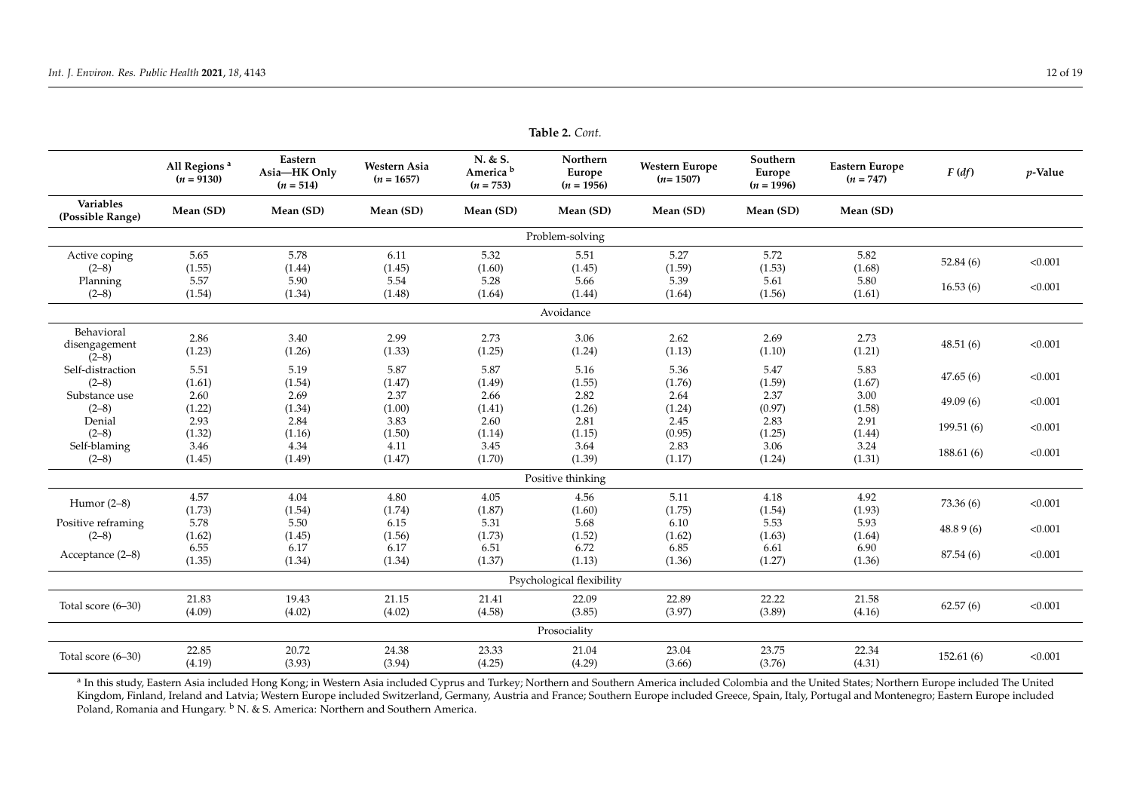| ravit $\mathcal{L}$ . Com.             |                                          |                                        |                              |                                                |                                           |                                     |                                    |                                      |             |            |  |  |
|----------------------------------------|------------------------------------------|----------------------------------------|------------------------------|------------------------------------------------|-------------------------------------------|-------------------------------------|------------------------------------|--------------------------------------|-------------|------------|--|--|
|                                        | All Regions <sup>a</sup><br>$(n = 9130)$ | Eastern<br>Asia-HK Only<br>$(n = 514)$ | Western Asia<br>$(n = 1657)$ | N. & S.<br>America <sup>b</sup><br>$(n = 753)$ | Northern<br><b>Europe</b><br>$(n = 1956)$ | <b>Western Europe</b><br>$(n=1507)$ | Southern<br>Europe<br>$(n = 1996)$ | <b>Eastern Europe</b><br>$(n = 747)$ | F(df)       | $p$ -Value |  |  |
| Variables<br>(Possible Range)          | Mean (SD)                                | Mean (SD)                              | Mean (SD)                    | Mean (SD)                                      | Mean (SD)                                 | Mean (SD)                           | Mean (SD)                          | Mean (SD)                            |             |            |  |  |
| Problem-solving                        |                                          |                                        |                              |                                                |                                           |                                     |                                    |                                      |             |            |  |  |
| Active coping<br>$(2-8)$<br>Planning   | 5.65<br>(1.55)<br>5.57                   | 5.78<br>(1.44)<br>5.90                 | 6.11<br>(1.45)<br>5.54       | 5.32<br>(1.60)<br>5.28                         | 5.51<br>(1.45)<br>5.66                    | 5.27<br>(1.59)<br>5.39              | 5.72<br>(1.53)<br>5.61             | 5.82<br>(1.68)<br>5.80               | 52.84 $(6)$ | < 0.001    |  |  |
| $(2-8)$                                | (1.54)                                   | (1.34)                                 | (1.48)                       | (1.64)                                         | (1.44)                                    | (1.64)                              | (1.56)                             | (1.61)                               | 16.53(6)    | < 0.001    |  |  |
| Avoidance                              |                                          |                                        |                              |                                                |                                           |                                     |                                    |                                      |             |            |  |  |
| Behavioral<br>disengagement<br>$(2-8)$ | 2.86<br>(1.23)                           | 3.40<br>(1.26)                         | 2.99<br>(1.33)               | 2.73<br>(1.25)                                 | 3.06<br>(1.24)                            | 2.62<br>(1.13)                      | 2.69<br>(1.10)                     | 2.73<br>(1.21)                       | 48.51(6)    | < 0.001    |  |  |
| Self-distraction<br>$(2-8)$            | 5.51<br>(1.61)                           | 5.19<br>(1.54)                         | 5.87<br>(1.47)               | 5.87<br>(1.49)                                 | 5.16<br>(1.55)                            | 5.36<br>(1.76)                      | 5.47<br>(1.59)                     | 5.83<br>(1.67)                       | 47.65(6)    | < 0.001    |  |  |
| Substance use<br>$(2-8)$               | 2.60<br>(1.22)                           | 2.69<br>(1.34)                         | 2.37<br>(1.00)               | 2.66<br>(1.41)                                 | 2.82<br>(1.26)                            | 2.64<br>(1.24)                      | 2.37<br>(0.97)                     | 3.00<br>(1.58)                       | 49.09(6)    | < 0.001    |  |  |
| Denial<br>$(2-8)$                      | 2.93<br>(1.32)                           | 2.84<br>(1.16)                         | 3.83<br>(1.50)               | 2.60<br>(1.14)                                 | 2.81<br>(1.15)                            | 2.45<br>(0.95)                      | 2.83<br>(1.25)                     | 2.91<br>(1.44)                       | 199.51(6)   | < 0.001    |  |  |
| Self-blaming<br>$(2-8)$                | 3.46<br>(1.45)                           | 4.34<br>(1.49)                         | 4.11<br>(1.47)               | 3.45<br>(1.70)                                 | 3.64<br>(1.39)                            | 2.83<br>(1.17)                      | 3.06<br>(1.24)                     | 3.24<br>(1.31)                       | 188.61(6)   | < 0.001    |  |  |
|                                        |                                          |                                        |                              |                                                | Positive thinking                         |                                     |                                    |                                      |             |            |  |  |
| Humor $(2-8)$                          | 4.57<br>(1.73)                           | 4.04<br>(1.54)                         | 4.80<br>(1.74)               | 4.05<br>(1.87)                                 | 4.56<br>(1.60)                            | 5.11<br>(1.75)                      | 4.18<br>(1.54)                     | 4.92<br>(1.93)                       | 73.36(6)    | < 0.001    |  |  |
| Positive reframing<br>$(2-8)$          | 5.78<br>(1.62)                           | 5.50<br>(1.45)                         | 6.15<br>(1.56)               | 5.31<br>(1.73)                                 | 5.68<br>(1.52)                            | 6.10<br>(1.62)                      | 5.53<br>(1.63)                     | 5.93<br>(1.64)                       | 48.89(6)    | < 0.001    |  |  |
| Acceptance (2-8)                       | 6.55<br>(1.35)                           | 6.17<br>(1.34)                         | 6.17<br>(1.34)               | 6.51<br>(1.37)                                 | 6.72<br>(1.13)                            | 6.85<br>(1.36)                      | 6.61<br>(1.27)                     | 6.90<br>(1.36)                       | 87.54 (6)   | < 0.001    |  |  |
|                                        |                                          |                                        |                              |                                                | Psychological flexibility                 |                                     |                                    |                                      |             |            |  |  |
| Total score (6-30)                     | 21.83<br>(4.09)                          | 19.43<br>(4.02)                        | 21.15<br>(4.02)              | 21.41<br>(4.58)                                | 22.09<br>(3.85)                           | 22.89<br>(3.97)                     | 22.22<br>(3.89)                    | 21.58<br>(4.16)                      | 62.57(6)    | < 0.001    |  |  |
|                                        |                                          |                                        |                              |                                                | Prosociality                              |                                     |                                    |                                      |             |            |  |  |
| Total score (6–30)                     | 22.85<br>(4.19)                          | 20.72<br>(3.93)                        | 24.38<br>(3.94)              | 23.33<br>(4.25)                                | 21.04<br>(4.29)                           | 23.04<br>(3.66)                     | 23.75<br>(3.76)                    | 22.34<br>(4.31)                      | 152.61(6)   | < 0.001    |  |  |

**Table 2.** *Cont.*

<span id="page-11-0"></span><sup>a</sup> In this study, Eastern Asia included Hong Kong; in Western Asia included Cyprus and Turkey; Northern and Southern America included Colombia and the United States; Northern Europe included The United Kingdom, Finland, Ireland and Latvia; Western Europe included Switzerland, Germany, Austria and France; Southern Europe included Greece, Spain, Italy, Portugal and Montenegro; Eastern Europe included Poland, Romania and Hungary. <sup>b</sup> N. & S. America: Northern and Southern America.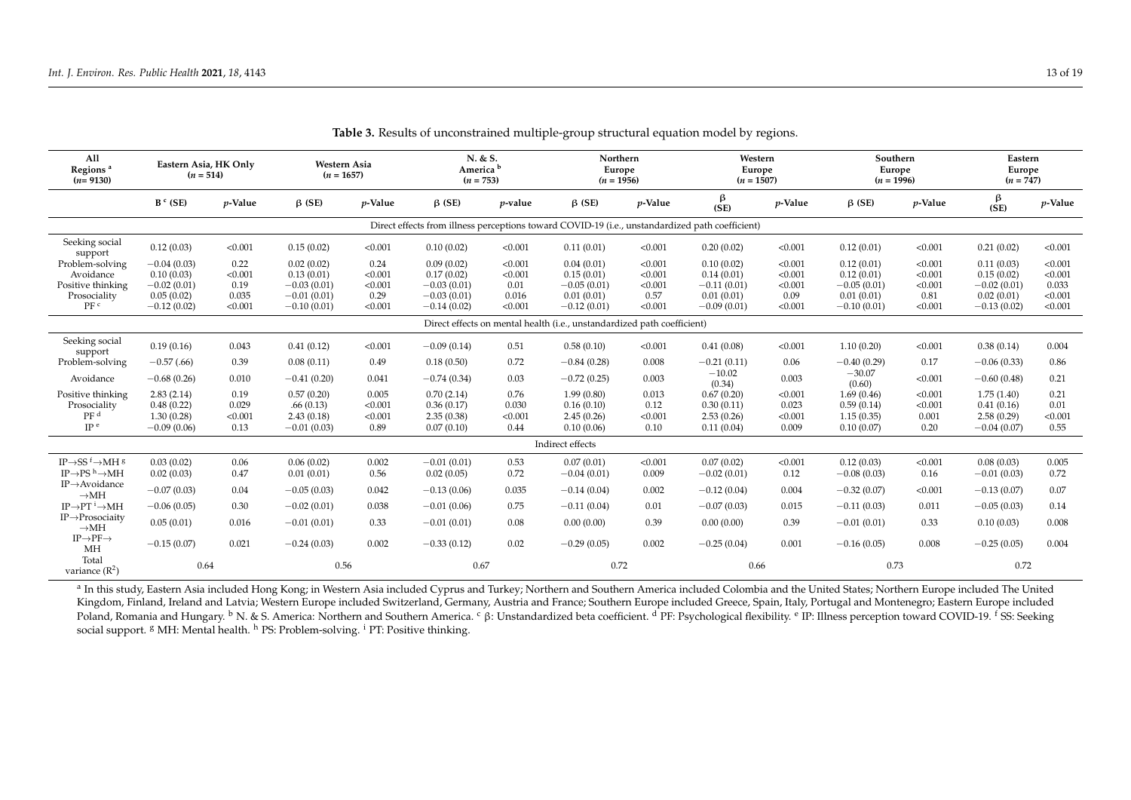| All<br>Regions <sup>a</sup><br>$(n=9130)$                               | Eastern Asia, HK Only<br>$(n = 514)$ |            | Western Asia<br>$(n = 1657)$ |            |               | N. & S.<br>America <sup>b</sup><br>$(n = 753)$ |                  | Northern<br>Europe<br>$(n = 1956)$<br>$(n = 1507)$ |                                                                                                 | Western<br>Europe |                    | Southern<br>Europe<br>$(n = 1996)$ |               | Eastern<br>Europe<br>$(n = 747)$ |
|-------------------------------------------------------------------------|--------------------------------------|------------|------------------------------|------------|---------------|------------------------------------------------|------------------|----------------------------------------------------|-------------------------------------------------------------------------------------------------|-------------------|--------------------|------------------------------------|---------------|----------------------------------|
|                                                                         | $B^c$ (SE)                           | $p$ -Value | $\beta$ (SE)                 | $p$ -Value | $\beta$ (SE)  | $p$ -value                                     | $\beta$ (SE)     | <i>p</i> -Value                                    | $\frac{\beta}{(SE)}$                                                                            | $p$ -Value        | $\beta$ (SE)       | $p$ -Value                         | β<br>(SE)     | <i>p</i> -Value                  |
|                                                                         |                                      |            |                              |            |               |                                                |                  |                                                    | Direct effects from illness perceptions toward COVID-19 (i.e., unstandardized path coefficient) |                   |                    |                                    |               |                                  |
| Seeking social<br>support                                               | 0.12(0.03)                           | < 0.001    | 0.15(0.02)                   | < 0.001    | 0.10(0.02)    | < 0.001                                        | 0.11(0.01)       | < 0.001                                            | 0.20(0.02)                                                                                      | < 0.001           | 0.12(0.01)         | < 0.001                            | 0.21(0.02)    | < 0.001                          |
| Problem-solving                                                         | $-0.04(0.03)$                        | 0.22       | 0.02(0.02)                   | 0.24       | 0.09(0.02)    | < 0.001                                        | 0.04(0.01)       | < 0.001                                            | 0.10(0.02)                                                                                      | < 0.001           | 0.12(0.01)         | < 0.001                            | 0.11(0.03)    | < 0.001                          |
| Avoidance                                                               | 0.10(0.03)                           | < 0.001    | 0.13(0.01)                   | < 0.001    | 0.17(0.02)    | < 0.001                                        | 0.15(0.01)       | < 0.001                                            | 0.14(0.01)                                                                                      | < 0.001           | 0.12(0.01)         | < 0.001                            | 0.15(0.02)    | < 0.001                          |
| Positive thinking                                                       | $-0.02(0.01)$                        | 0.19       | $-0.03(0.01)$                | < 0.001    | $-0.03(0.01)$ | 0.01                                           | $-0.05(0.01)$    | < 0.001                                            | $-0.11(0.01)$                                                                                   | < 0.001           | $-0.05(0.01)$      | < 0.001                            | $-0.02(0.01)$ | 0.033                            |
| Prosociality                                                            | 0.05(0.02)                           | 0.035      | $-0.01(0.01)$                | 0.29       | $-0.03(0.01)$ | 0.016                                          | 0.01(0.01)       | 0.57                                               | 0.01(0.01)                                                                                      | 0.09              | 0.01(0.01)         | 0.81                               | 0.02(0.01)    | < 0.001                          |
| PF <sup>c</sup>                                                         | $-0.12(0.02)$                        | < 0.001    | $-0.10(0.01)$                | < 0.001    | $-0.14(0.02)$ | < 0.001                                        | $-0.12(0.01)$    | < 0.001                                            | $-0.09(0.01)$                                                                                   | < 0.001           | $-0.10(0.01)$      | < 0.001                            | $-0.13(0.02)$ | < 0.001                          |
| Direct effects on mental health (i.e., unstandardized path coefficient) |                                      |            |                              |            |               |                                                |                  |                                                    |                                                                                                 |                   |                    |                                    |               |                                  |
| Seeking social<br>support                                               | 0.19(0.16)                           | 0.043      | 0.41(0.12)                   | < 0.001    | $-0.09(0.14)$ | 0.51                                           | 0.58(0.10)       | < 0.001                                            | 0.41(0.08)                                                                                      | < 0.001           | 1.10(0.20)         | < 0.001                            | 0.38(0.14)    | 0.004                            |
| Problem-solving                                                         | $-0.57(0.66)$                        | 0.39       | 0.08(0.11)                   | 0.49       | 0.18(0.50)    | 0.72                                           | $-0.84(0.28)$    | 0.008                                              | $-0.21(0.11)$                                                                                   | 0.06              | $-0.40(0.29)$      | 0.17                               | $-0.06(0.33)$ | 0.86                             |
| Avoidance                                                               | $-0.68(0.26)$                        | 0.010      | $-0.41(0.20)$                | 0.041      | $-0.74(0.34)$ | 0.03                                           | $-0.72(0.25)$    | 0.003                                              | $-10.02$<br>(0.34)                                                                              | 0.003             | $-30.07$<br>(0.60) | < 0.001                            | $-0.60(0.48)$ | 0.21                             |
| Positive thinking                                                       | 2.83(2.14)                           | 0.19       | 0.57(0.20)                   | 0.005      | 0.70(2.14)    | 0.76                                           | 1.99(0.80)       | 0.013                                              | 0.67(0.20)                                                                                      | < 0.001           | 1.69(0.46)         | < 0.001                            | 1.75(1.40)    | 0.21                             |
| Prosociality                                                            | 0.48(0.22)                           | 0.029      | .66(0.13)                    | < 0.001    | 0.36(0.17)    | 0.030                                          | 0.16(0.10)       | 0.12                                               | 0.30(0.11)                                                                                      | 0.023             | 0.59(0.14)         | < 0.001                            | 0.41(0.16)    | 0.01                             |
| PF <sup>d</sup>                                                         | 1.30(0.28)                           | < 0.001    | 2.43(0.18)                   | < 0.001    | 2.35(0.38)    | < 0.001                                        | 2.45(0.26)       | < 0.001                                            | 2.53(0.26)                                                                                      | < 0.001           | 1.15(0.35)         | 0.001                              | 2.58(0.29)    | < 0.001                          |
| IP <sup>e</sup>                                                         | $-0.09(0.06)$                        | 0.13       | $-0.01(0.03)$                | 0.89       | 0.07(0.10)    | 0.44                                           | 0.10(0.06)       | 0.10                                               | 0.11(0.04)                                                                                      | 0.009             | 0.10(0.07)         | 0.20                               | $-0.04(0.07)$ | 0.55                             |
|                                                                         |                                      |            |                              |            |               |                                                | Indirect effects |                                                    |                                                                                                 |                   |                    |                                    |               |                                  |
| IP $\rightarrow$ SS <sup>f</sup> $\rightarrow$ MH <sup>g</sup>          | 0.03(0.02)                           | 0.06       | 0.06(0.02)                   | 0.002      | $-0.01(0.01)$ | 0.53                                           | 0.07(0.01)       | < 0.001                                            | 0.07(0.02)                                                                                      | < 0.001           | 0.12(0.03)         | < 0.001                            | 0.08(0.03)    | 0.005                            |
| IP $\rightarrow$ PS <sup>h</sup> $\rightarrow$ MH                       | 0.02(0.03)                           | 0.47       | 0.01(0.01)                   | 0.56       | 0.02(0.05)    | 0.72                                           | $-0.04(0.01)$    | 0.009                                              | $-0.02(0.01)$                                                                                   | 0.12              | $-0.08(0.03)$      | 0.16                               | $-0.01(0.03)$ | 0.72                             |
| $IP \rightarrow$ Avoidance<br>$\rightarrow$ MH                          | $-0.07(0.03)$                        | 0.04       | $-0.05(0.03)$                | 0.042      | $-0.13(0.06)$ | 0.035                                          | $-0.14(0.04)$    | 0.002                                              | $-0.12(0.04)$                                                                                   | 0.004             | $-0.32(0.07)$      | < 0.001                            | $-0.13(0.07)$ | 0.07                             |
| $IP \rightarrow PT$ <sup>i</sup> $\rightarrow$ MH                       | $-0.06(0.05)$                        | 0.30       | $-0.02(0.01)$                | 0.038      | $-0.01(0.06)$ | 0.75                                           | $-0.11(0.04)$    | 0.01                                               | $-0.07(0.03)$                                                                                   | 0.015             | $-0.11(0.03)$      | 0.011                              | $-0.05(0.03)$ | 0.14                             |
| $IP \rightarrow$ Prosociaity<br>$\rightarrow$ MH                        | 0.05(0.01)                           | 0.016      | $-0.01(0.01)$                | 0.33       | $-0.01(0.01)$ | 0.08                                           | 0.00(0.00)       | 0.39                                               | 0.00(0.00)                                                                                      | 0.39              | $-0.01(0.01)$      | 0.33                               | 0.10(0.03)    | 0.008                            |
| $IP \rightarrow PF \rightarrow$<br>MH                                   | $-0.15(0.07)$                        | 0.021      | $-0.24(0.03)$                | 0.002      | $-0.33(0.12)$ | 0.02                                           | $-0.29(0.05)$    | 0.002                                              | $-0.25(0.04)$                                                                                   | 0.001             | $-0.16(0.05)$      | 0.008                              | $-0.25(0.05)$ | 0.004                            |
| Total<br>variance $(R^2)$                                               | 0.64                                 |            | 0.56                         |            | 0.67          |                                                | 0.72             |                                                    | 0.66                                                                                            |                   | 0.73               |                                    | 0.72          |                                  |

**Table 3.** Results of unconstrained multiple-group structural equation model by regions.

<span id="page-12-0"></span><sup>a</sup> In this study, Eastern Asia included Hong Kong; in Western Asia included Cyprus and Turkey; Northern and Southern America included Colombia and the United States; Northern Europe included The United Kingdom, Finland, Ireland and Latvia; Western Europe included Switzerland, Germany, Austria and France; Southern Europe included Greece, Spain, Italy, Portugal and Montenegro; Eastern Europe included Poland, Romania and Hungary. <sup>b</sup> N. & S. America: Northern and Southern America. <sup>c</sup> β: Unstandardized beta coefficient. <sup>d</sup> PF: Psychological flexibility. <sup>e</sup> IP: Illness perception toward COVID-19. <sup>f</sup> SS: Seeking social support. <sup>g</sup> MH: Mental health. <sup>h</sup> PS: Problem-solving. <sup>i</sup> PT: Positive thinking.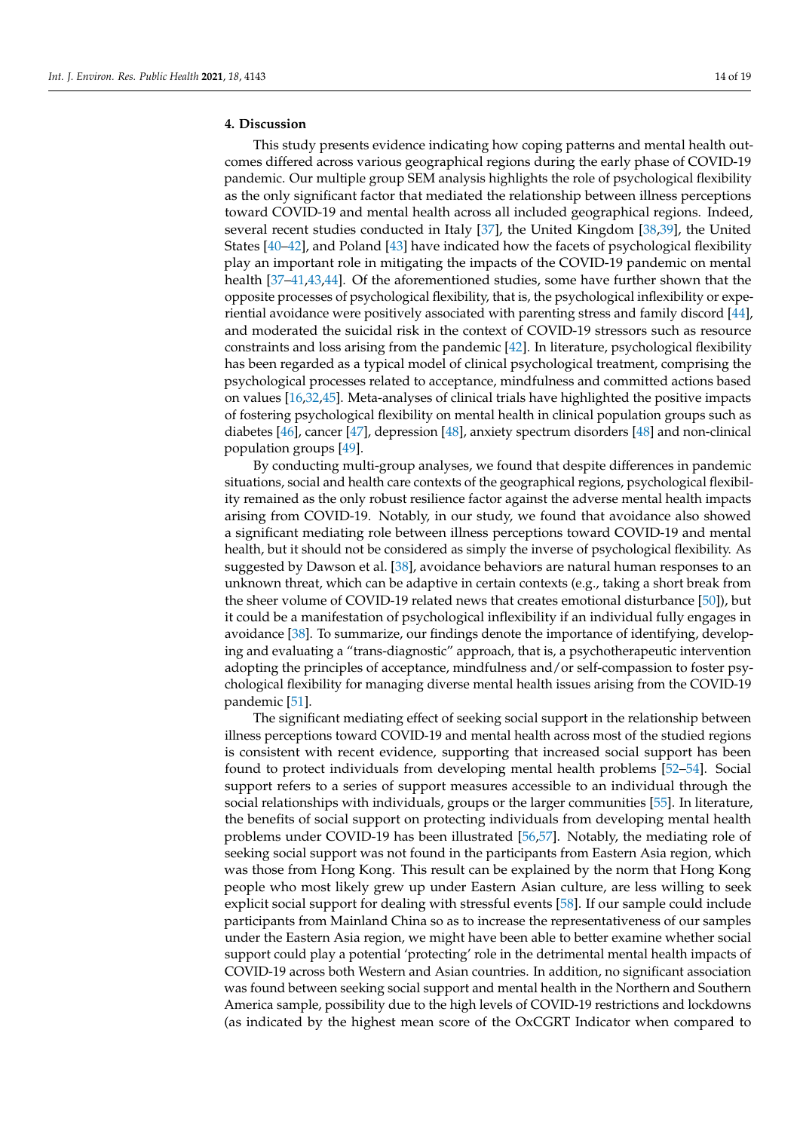## **4. Discussion**

This study presents evidence indicating how coping patterns and mental health outcomes differed across various geographical regions during the early phase of COVID-19 pandemic. Our multiple group SEM analysis highlights the role of psychological flexibility as the only significant factor that mediated the relationship between illness perceptions toward COVID-19 and mental health across all included geographical regions. Indeed, several recent studies conducted in Italy [\[37\]](#page-17-10), the United Kingdom [\[38](#page-17-11)[,39\]](#page-17-12), the United States [\[40](#page-17-13)[–42\]](#page-17-14), and Poland [\[43\]](#page-17-15) have indicated how the facets of psychological flexibility play an important role in mitigating the impacts of the COVID-19 pandemic on mental health [\[37–](#page-17-10)[41,](#page-17-16)[43,](#page-17-15)[44\]](#page-17-17). Of the aforementioned studies, some have further shown that the opposite processes of psychological flexibility, that is, the psychological inflexibility or experiential avoidance were positively associated with parenting stress and family discord [\[44\]](#page-17-17), and moderated the suicidal risk in the context of COVID-19 stressors such as resource constraints and loss arising from the pandemic [\[42\]](#page-17-14). In literature, psychological flexibility has been regarded as a typical model of clinical psychological treatment, comprising the psychological processes related to acceptance, mindfulness and committed actions based on values [\[16,](#page-16-11)[32,](#page-17-5)[45\]](#page-17-18). Meta-analyses of clinical trials have highlighted the positive impacts of fostering psychological flexibility on mental health in clinical population groups such as diabetes [\[46\]](#page-17-19), cancer [\[47\]](#page-17-20), depression [\[48\]](#page-17-21), anxiety spectrum disorders [\[48\]](#page-17-21) and non-clinical population groups [\[49\]](#page-17-22).

By conducting multi-group analyses, we found that despite differences in pandemic situations, social and health care contexts of the geographical regions, psychological flexibility remained as the only robust resilience factor against the adverse mental health impacts arising from COVID-19. Notably, in our study, we found that avoidance also showed a significant mediating role between illness perceptions toward COVID-19 and mental health, but it should not be considered as simply the inverse of psychological flexibility. As suggested by Dawson et al. [\[38\]](#page-17-11), avoidance behaviors are natural human responses to an unknown threat, which can be adaptive in certain contexts (e.g., taking a short break from the sheer volume of COVID-19 related news that creates emotional disturbance [\[50\]](#page-17-23)), but it could be a manifestation of psychological inflexibility if an individual fully engages in avoidance [\[38\]](#page-17-11). To summarize, our findings denote the importance of identifying, developing and evaluating a "trans-diagnostic" approach, that is, a psychotherapeutic intervention adopting the principles of acceptance, mindfulness and/or self-compassion to foster psychological flexibility for managing diverse mental health issues arising from the COVID-19 pandemic [\[51\]](#page-18-0).

The significant mediating effect of seeking social support in the relationship between illness perceptions toward COVID-19 and mental health across most of the studied regions is consistent with recent evidence, supporting that increased social support has been found to protect individuals from developing mental health problems [\[52–](#page-18-1)[54\]](#page-18-2). Social support refers to a series of support measures accessible to an individual through the social relationships with individuals, groups or the larger communities [\[55\]](#page-18-3). In literature, the benefits of social support on protecting individuals from developing mental health problems under COVID-19 has been illustrated [\[56,](#page-18-4)[57\]](#page-18-5). Notably, the mediating role of seeking social support was not found in the participants from Eastern Asia region, which was those from Hong Kong. This result can be explained by the norm that Hong Kong people who most likely grew up under Eastern Asian culture, are less willing to seek explicit social support for dealing with stressful events [\[58\]](#page-18-6). If our sample could include participants from Mainland China so as to increase the representativeness of our samples under the Eastern Asia region, we might have been able to better examine whether social support could play a potential 'protecting' role in the detrimental mental health impacts of COVID-19 across both Western and Asian countries. In addition, no significant association was found between seeking social support and mental health in the Northern and Southern America sample, possibility due to the high levels of COVID-19 restrictions and lockdowns (as indicated by the highest mean score of the OxCGRT Indicator when compared to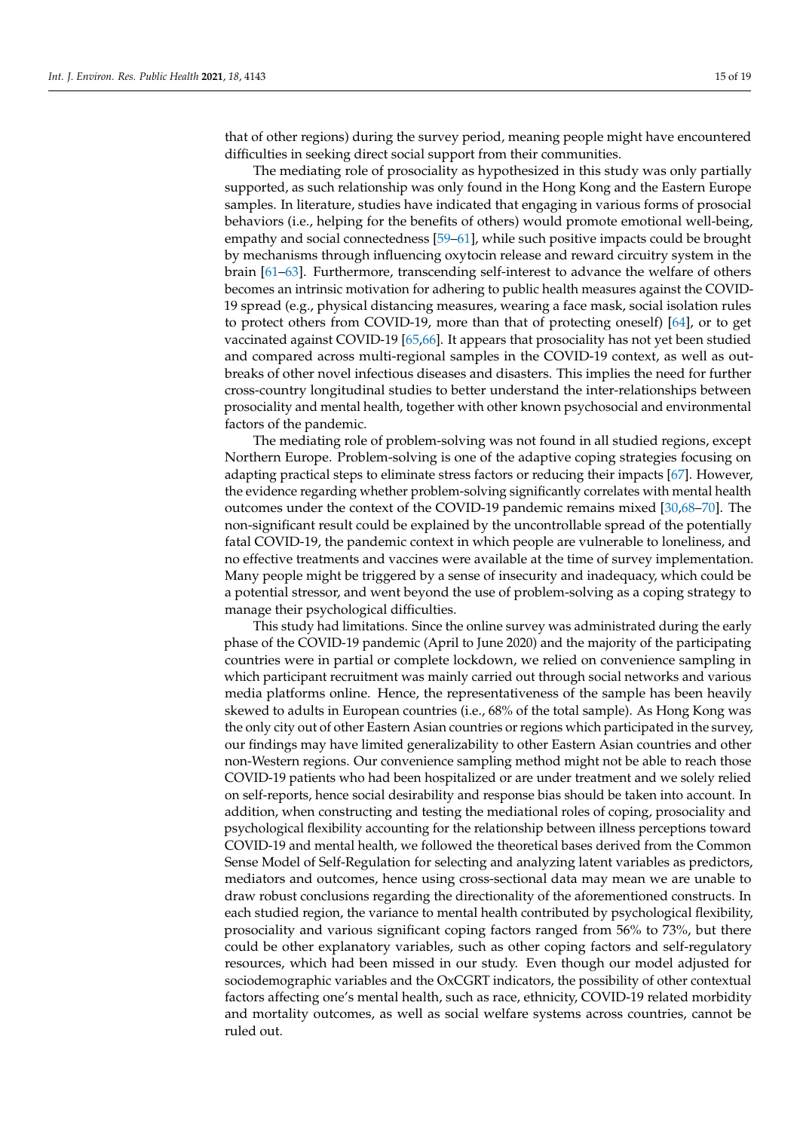that of other regions) during the survey period, meaning people might have encountered difficulties in seeking direct social support from their communities.

The mediating role of prosociality as hypothesized in this study was only partially supported, as such relationship was only found in the Hong Kong and the Eastern Europe samples. In literature, studies have indicated that engaging in various forms of prosocial behaviors (i.e., helping for the benefits of others) would promote emotional well-being, empathy and social connectedness [\[59](#page-18-7)[–61\]](#page-18-8), while such positive impacts could be brought by mechanisms through influencing oxytocin release and reward circuitry system in the brain [\[61](#page-18-8)[–63\]](#page-18-9). Furthermore, transcending self-interest to advance the welfare of others becomes an intrinsic motivation for adhering to public health measures against the COVID-19 spread (e.g., physical distancing measures, wearing a face mask, social isolation rules to protect others from COVID-19, more than that of protecting oneself) [\[64\]](#page-18-10), or to get vaccinated against COVID-19 [\[65,](#page-18-11)[66\]](#page-18-12). It appears that prosociality has not yet been studied and compared across multi-regional samples in the COVID-19 context, as well as outbreaks of other novel infectious diseases and disasters. This implies the need for further cross-country longitudinal studies to better understand the inter-relationships between prosociality and mental health, together with other known psychosocial and environmental factors of the pandemic.

The mediating role of problem-solving was not found in all studied regions, except Northern Europe. Problem-solving is one of the adaptive coping strategies focusing on adapting practical steps to eliminate stress factors or reducing their impacts [\[67\]](#page-18-13). However, the evidence regarding whether problem-solving significantly correlates with mental health outcomes under the context of the COVID-19 pandemic remains mixed [\[30](#page-17-24)[,68](#page-18-14)[–70\]](#page-18-15). The non-significant result could be explained by the uncontrollable spread of the potentially fatal COVID-19, the pandemic context in which people are vulnerable to loneliness, and no effective treatments and vaccines were available at the time of survey implementation. Many people might be triggered by a sense of insecurity and inadequacy, which could be a potential stressor, and went beyond the use of problem-solving as a coping strategy to manage their psychological difficulties.

This study had limitations. Since the online survey was administrated during the early phase of the COVID-19 pandemic (April to June 2020) and the majority of the participating countries were in partial or complete lockdown, we relied on convenience sampling in which participant recruitment was mainly carried out through social networks and various media platforms online. Hence, the representativeness of the sample has been heavily skewed to adults in European countries (i.e., 68% of the total sample). As Hong Kong was the only city out of other Eastern Asian countries or regions which participated in the survey, our findings may have limited generalizability to other Eastern Asian countries and other non-Western regions. Our convenience sampling method might not be able to reach those COVID-19 patients who had been hospitalized or are under treatment and we solely relied on self-reports, hence social desirability and response bias should be taken into account. In addition, when constructing and testing the mediational roles of coping, prosociality and psychological flexibility accounting for the relationship between illness perceptions toward COVID-19 and mental health, we followed the theoretical bases derived from the Common Sense Model of Self-Regulation for selecting and analyzing latent variables as predictors, mediators and outcomes, hence using cross-sectional data may mean we are unable to draw robust conclusions regarding the directionality of the aforementioned constructs. In each studied region, the variance to mental health contributed by psychological flexibility, prosociality and various significant coping factors ranged from 56% to 73%, but there could be other explanatory variables, such as other coping factors and self-regulatory resources, which had been missed in our study. Even though our model adjusted for sociodemographic variables and the OxCGRT indicators, the possibility of other contextual factors affecting one's mental health, such as race, ethnicity, COVID-19 related morbidity and mortality outcomes, as well as social welfare systems across countries, cannot be ruled out.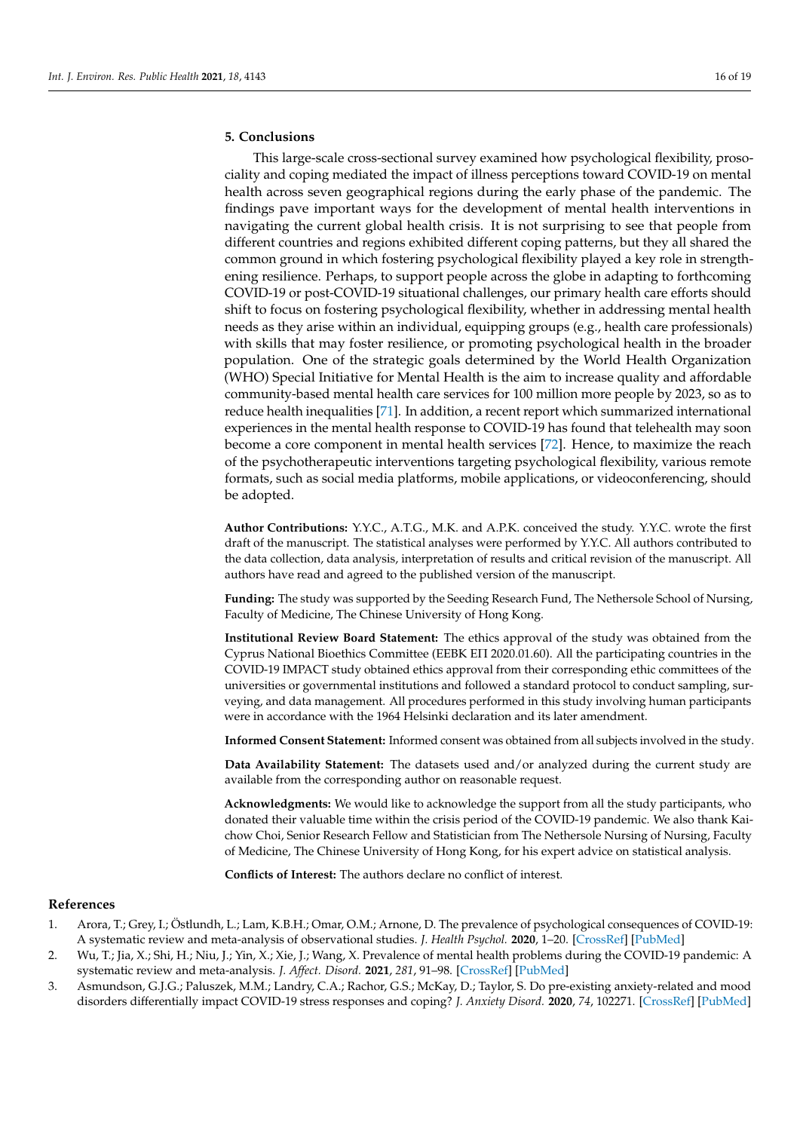## **5. Conclusions**

This large-scale cross-sectional survey examined how psychological flexibility, prosociality and coping mediated the impact of illness perceptions toward COVID-19 on mental health across seven geographical regions during the early phase of the pandemic. The findings pave important ways for the development of mental health interventions in navigating the current global health crisis. It is not surprising to see that people from different countries and regions exhibited different coping patterns, but they all shared the common ground in which fostering psychological flexibility played a key role in strengthening resilience. Perhaps, to support people across the globe in adapting to forthcoming COVID-19 or post-COVID-19 situational challenges, our primary health care efforts should shift to focus on fostering psychological flexibility, whether in addressing mental health needs as they arise within an individual, equipping groups (e.g., health care professionals) with skills that may foster resilience, or promoting psychological health in the broader population. One of the strategic goals determined by the World Health Organization (WHO) Special Initiative for Mental Health is the aim to increase quality and affordable community-based mental health care services for 100 million more people by 2023, so as to reduce health inequalities [\[71\]](#page-18-16). In addition, a recent report which summarized international experiences in the mental health response to COVID-19 has found that telehealth may soon become a core component in mental health services [\[72\]](#page-18-17). Hence, to maximize the reach of the psychotherapeutic interventions targeting psychological flexibility, various remote formats, such as social media platforms, mobile applications, or videoconferencing, should be adopted.

**Author Contributions:** Y.Y.C., A.T.G., M.K. and A.P.K. conceived the study. Y.Y.C. wrote the first draft of the manuscript. The statistical analyses were performed by Y.Y.C. All authors contributed to the data collection, data analysis, interpretation of results and critical revision of the manuscript. All authors have read and agreed to the published version of the manuscript.

**Funding:** The study was supported by the Seeding Research Fund, The Nethersole School of Nursing, Faculty of Medicine, The Chinese University of Hong Kong.

**Institutional Review Board Statement:** The ethics approval of the study was obtained from the Cyprus National Bioethics Committee (EEBK EΠ 2020.01.60). All the participating countries in the COVID-19 IMPACT study obtained ethics approval from their corresponding ethic committees of the universities or governmental institutions and followed a standard protocol to conduct sampling, surveying, and data management. All procedures performed in this study involving human participants were in accordance with the 1964 Helsinki declaration and its later amendment.

**Informed Consent Statement:** Informed consent was obtained from all subjects involved in the study.

**Data Availability Statement:** The datasets used and/or analyzed during the current study are available from the corresponding author on reasonable request.

**Acknowledgments:** We would like to acknowledge the support from all the study participants, who donated their valuable time within the crisis period of the COVID-19 pandemic. We also thank Kaichow Choi, Senior Research Fellow and Statistician from The Nethersole Nursing of Nursing, Faculty of Medicine, The Chinese University of Hong Kong, for his expert advice on statistical analysis.

**Conflicts of Interest:** The authors declare no conflict of interest.

## **References**

- <span id="page-15-0"></span>1. Arora, T.; Grey, I.; Östlundh, L.; Lam, K.B.H.; Omar, O.M.; Arnone, D. The prevalence of psychological consequences of COVID-19: A systematic review and meta-analysis of observational studies. *J. Health Psychol.* **2020**, 1–20. [\[CrossRef\]](http://doi.org/10.1177/1359105320966639) [\[PubMed\]](http://www.ncbi.nlm.nih.gov/pubmed/33118376)
- <span id="page-15-1"></span>2. Wu, T.; Jia, X.; Shi, H.; Niu, J.; Yin, X.; Xie, J.; Wang, X. Prevalence of mental health problems during the COVID-19 pandemic: A systematic review and meta-analysis. *J. Affect. Disord.* **2021**, *281*, 91–98. [\[CrossRef\]](http://doi.org/10.1016/j.jad.2020.11.117) [\[PubMed\]](http://www.ncbi.nlm.nih.gov/pubmed/33310451)
- <span id="page-15-2"></span>3. Asmundson, G.J.G.; Paluszek, M.M.; Landry, C.A.; Rachor, G.S.; McKay, D.; Taylor, S. Do pre-existing anxiety-related and mood disorders differentially impact COVID-19 stress responses and coping? *J. Anxiety Disord.* **2020**, *74*, 102271. [\[CrossRef\]](http://doi.org/10.1016/j.janxdis.2020.102271) [\[PubMed\]](http://www.ncbi.nlm.nih.gov/pubmed/32673930)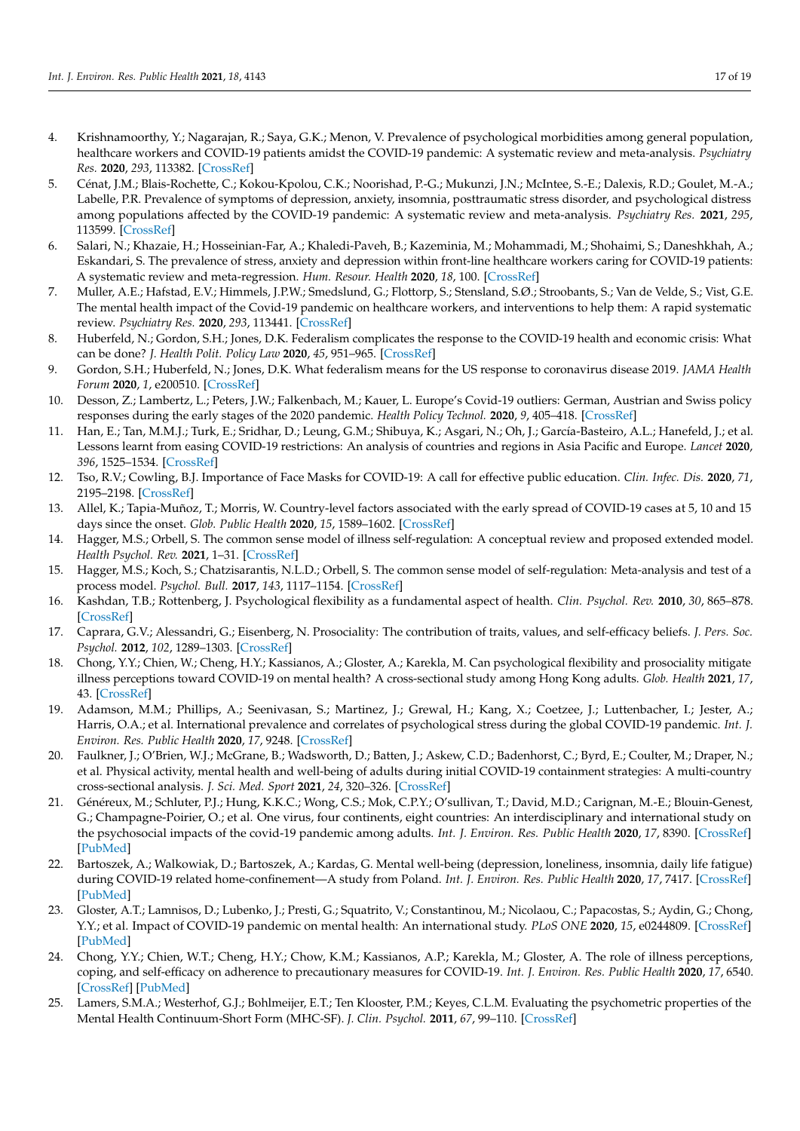- <span id="page-16-0"></span>4. Krishnamoorthy, Y.; Nagarajan, R.; Saya, G.K.; Menon, V. Prevalence of psychological morbidities among general population, healthcare workers and COVID-19 patients amidst the COVID-19 pandemic: A systematic review and meta-analysis. *Psychiatry Res.* **2020**, *293*, 113382. [\[CrossRef\]](http://doi.org/10.1016/j.psychres.2020.113382)
- <span id="page-16-1"></span>5. Cénat, J.M.; Blais-Rochette, C.; Kokou-Kpolou, C.K.; Noorishad, P.-G.; Mukunzi, J.N.; McIntee, S.-E.; Dalexis, R.D.; Goulet, M.-A.; Labelle, P.R. Prevalence of symptoms of depression, anxiety, insomnia, posttraumatic stress disorder, and psychological distress among populations affected by the COVID-19 pandemic: A systematic review and meta-analysis. *Psychiatry Res.* **2021**, *295*, 113599. [\[CrossRef\]](http://doi.org/10.1016/j.psychres.2020.113599)
- 6. Salari, N.; Khazaie, H.; Hosseinian-Far, A.; Khaledi-Paveh, B.; Kazeminia, M.; Mohammadi, M.; Shohaimi, S.; Daneshkhah, A.; Eskandari, S. The prevalence of stress, anxiety and depression within front-line healthcare workers caring for COVID-19 patients: A systematic review and meta-regression. *Hum. Resour. Health* **2020**, *18*, 100. [\[CrossRef\]](http://doi.org/10.1186/s12960-020-00544-1)
- <span id="page-16-2"></span>7. Muller, A.E.; Hafstad, E.V.; Himmels, J.P.W.; Smedslund, G.; Flottorp, S.; Stensland, S.Ø.; Stroobants, S.; Van de Velde, S.; Vist, G.E. The mental health impact of the Covid-19 pandemic on healthcare workers, and interventions to help them: A rapid systematic review. *Psychiatry Res.* **2020**, *293*, 113441. [\[CrossRef\]](http://doi.org/10.1016/j.psychres.2020.113441)
- <span id="page-16-3"></span>8. Huberfeld, N.; Gordon, S.H.; Jones, D.K. Federalism complicates the response to the COVID-19 health and economic crisis: What can be done? *J. Health Polit. Policy Law* **2020**, *45*, 951–965. [\[CrossRef\]](http://doi.org/10.1215/03616878-8641493)
- <span id="page-16-4"></span>9. Gordon, S.H.; Huberfeld, N.; Jones, D.K. What federalism means for the US response to coronavirus disease 2019. *JAMA Health Forum* **2020**, *1*, e200510. [\[CrossRef\]](http://doi.org/10.1001/jamahealthforum.2020.0510)
- <span id="page-16-5"></span>10. Desson, Z.; Lambertz, L.; Peters, J.W.; Falkenbach, M.; Kauer, L. Europe's Covid-19 outliers: German, Austrian and Swiss policy responses during the early stages of the 2020 pandemic. *Health Policy Technol.* **2020**, *9*, 405–418. [\[CrossRef\]](http://doi.org/10.1016/j.hlpt.2020.09.003)
- <span id="page-16-6"></span>11. Han, E.; Tan, M.M.J.; Turk, E.; Sridhar, D.; Leung, G.M.; Shibuya, K.; Asgari, N.; Oh, J.; García-Basteiro, A.L.; Hanefeld, J.; et al. Lessons learnt from easing COVID-19 restrictions: An analysis of countries and regions in Asia Pacific and Europe. *Lancet* **2020**, *396*, 1525–1534. [\[CrossRef\]](http://doi.org/10.1016/S0140-6736(20)32007-9)
- <span id="page-16-7"></span>12. Tso, R.V.; Cowling, B.J. Importance of Face Masks for COVID-19: A call for effective public education. *Clin. Infec. Dis.* **2020**, *71*, 2195–2198. [\[CrossRef\]](http://doi.org/10.1093/cid/ciaa593)
- <span id="page-16-8"></span>13. Allel, K.; Tapia-Muñoz, T.; Morris, W. Country-level factors associated with the early spread of COVID-19 cases at 5, 10 and 15 days since the onset. *Glob. Public Health* **2020**, *15*, 1589–1602. [\[CrossRef\]](http://doi.org/10.1080/17441692.2020.1814835)
- <span id="page-16-9"></span>14. Hagger, M.S.; Orbell, S. The common sense model of illness self-regulation: A conceptual review and proposed extended model. *Health Psychol. Rev.* **2021**, 1–31. [\[CrossRef\]](http://doi.org/10.1080/17437199.2021.1878050)
- <span id="page-16-10"></span>15. Hagger, M.S.; Koch, S.; Chatzisarantis, N.L.D.; Orbell, S. The common sense model of self-regulation: Meta-analysis and test of a process model. *Psychol. Bull.* **2017**, *143*, 1117–1154. [\[CrossRef\]](http://doi.org/10.1037/bul0000118)
- <span id="page-16-11"></span>16. Kashdan, T.B.; Rottenberg, J. Psychological flexibility as a fundamental aspect of health. *Clin. Psychol. Rev.* **2010**, *30*, 865–878. [\[CrossRef\]](http://doi.org/10.1016/j.cpr.2010.03.001)
- <span id="page-16-12"></span>17. Caprara, G.V.; Alessandri, G.; Eisenberg, N. Prosociality: The contribution of traits, values, and self-efficacy beliefs. *J. Pers. Soc. Psychol.* **2012**, *102*, 1289–1303. [\[CrossRef\]](http://doi.org/10.1037/a0025626)
- <span id="page-16-13"></span>18. Chong, Y.Y.; Chien, W.; Cheng, H.Y.; Kassianos, A.; Gloster, A.; Karekla, M. Can psychological flexibility and prosociality mitigate illness perceptions toward COVID-19 on mental health? A cross-sectional study among Hong Kong adults. *Glob. Health* **2021**, *17*, 43. [\[CrossRef\]](http://doi.org/10.1186/s12992-021-00692-6)
- <span id="page-16-14"></span>19. Adamson, M.M.; Phillips, A.; Seenivasan, S.; Martinez, J.; Grewal, H.; Kang, X.; Coetzee, J.; Luttenbacher, I.; Jester, A.; Harris, O.A.; et al. International prevalence and correlates of psychological stress during the global COVID-19 pandemic. *Int. J. Environ. Res. Public Health* **2020**, *17*, 9248. [\[CrossRef\]](http://doi.org/10.3390/ijerph17249248)
- 20. Faulkner, J.; O'Brien, W.J.; McGrane, B.; Wadsworth, D.; Batten, J.; Askew, C.D.; Badenhorst, C.; Byrd, E.; Coulter, M.; Draper, N.; et al. Physical activity, mental health and well-being of adults during initial COVID-19 containment strategies: A multi-country cross-sectional analysis. *J. Sci. Med. Sport* **2021**, *24*, 320–326. [\[CrossRef\]](http://doi.org/10.1016/j.jsams.2020.11.016)
- 21. Généreux, M.; Schluter, P.J.; Hung, K.K.C.; Wong, C.S.; Mok, C.P.Y.; O'sullivan, T.; David, M.D.; Carignan, M.-E.; Blouin-Genest, G.; Champagne-Poirier, O.; et al. One virus, four continents, eight countries: An interdisciplinary and international study on the psychosocial impacts of the covid-19 pandemic among adults. *Int. J. Environ. Res. Public Health* **2020**, *17*, 8390. [\[CrossRef\]](http://doi.org/10.3390/ijerph17228390) [\[PubMed\]](http://www.ncbi.nlm.nih.gov/pubmed/33202706)
- <span id="page-16-15"></span>22. Bartoszek, A.; Walkowiak, D.; Bartoszek, A.; Kardas, G. Mental well-being (depression, loneliness, insomnia, daily life fatigue) during COVID-19 related home-confinement—A study from Poland. *Int. J. Environ. Res. Public Health* **2020**, *17*, 7417. [\[CrossRef\]](http://doi.org/10.3390/ijerph17207417) [\[PubMed\]](http://www.ncbi.nlm.nih.gov/pubmed/33053787)
- <span id="page-16-16"></span>23. Gloster, A.T.; Lamnisos, D.; Lubenko, J.; Presti, G.; Squatrito, V.; Constantinou, M.; Nicolaou, C.; Papacostas, S.; Aydin, G.; Chong, Y.Y.; et al. Impact of COVID-19 pandemic on mental health: An international study. *PLoS ONE* **2020**, *15*, e0244809. [\[CrossRef\]](http://doi.org/10.1371/journal.pone.0244809) [\[PubMed\]](http://www.ncbi.nlm.nih.gov/pubmed/33382859)
- <span id="page-16-17"></span>24. Chong, Y.Y.; Chien, W.T.; Cheng, H.Y.; Chow, K.M.; Kassianos, A.P.; Karekla, M.; Gloster, A. The role of illness perceptions, coping, and self-efficacy on adherence to precautionary measures for COVID-19. *Int. J. Environ. Res. Public Health* **2020**, *17*, 6540. [\[CrossRef\]](http://doi.org/10.3390/ijerph17186540) [\[PubMed\]](http://www.ncbi.nlm.nih.gov/pubmed/32911779)
- <span id="page-16-18"></span>25. Lamers, S.M.A.; Westerhof, G.J.; Bohlmeijer, E.T.; Ten Klooster, P.M.; Keyes, C.L.M. Evaluating the psychometric properties of the Mental Health Continuum-Short Form (MHC-SF). *J. Clin. Psychol.* **2011**, *67*, 99–110. [\[CrossRef\]](http://doi.org/10.1002/jclp.20741)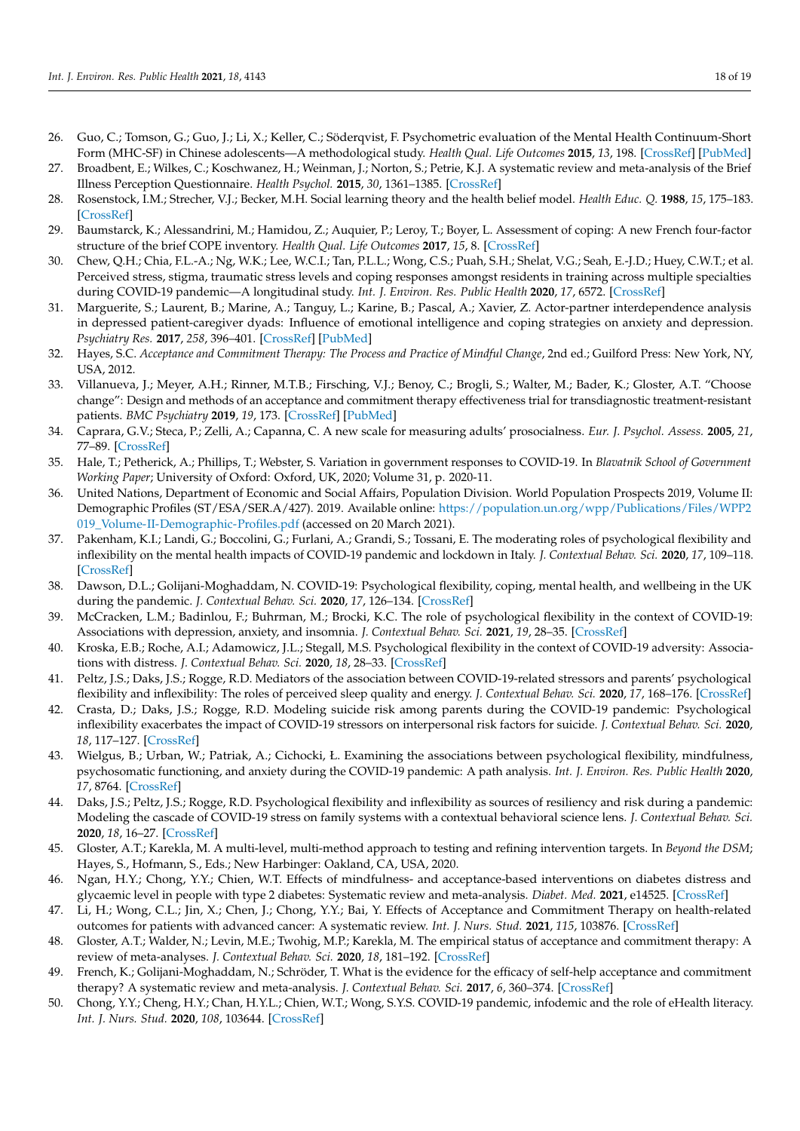- <span id="page-17-0"></span>26. Guo, C.; Tomson, G.; Guo, J.; Li, X.; Keller, C.; Söderqvist, F. Psychometric evaluation of the Mental Health Continuum-Short Form (MHC-SF) in Chinese adolescents—A methodological study. *Health Qual. Life Outcomes* **2015**, *13*, 198. [\[CrossRef\]](http://doi.org/10.1186/s12955-015-0394-2) [\[PubMed\]](http://www.ncbi.nlm.nih.gov/pubmed/26651829)
- <span id="page-17-1"></span>27. Broadbent, E.; Wilkes, C.; Koschwanez, H.; Weinman, J.; Norton, S.; Petrie, K.J. A systematic review and meta-analysis of the Brief Illness Perception Questionnaire. *Health Psychol.* **2015**, *30*, 1361–1385. [\[CrossRef\]](http://doi.org/10.1080/08870446.2015.1070851)
- <span id="page-17-2"></span>28. Rosenstock, I.M.; Strecher, V.J.; Becker, M.H. Social learning theory and the health belief model. *Health Educ. Q.* **1988**, *15*, 175–183. [\[CrossRef\]](http://doi.org/10.1177/109019818801500203)
- <span id="page-17-3"></span>29. Baumstarck, K.; Alessandrini, M.; Hamidou, Z.; Auquier, P.; Leroy, T.; Boyer, L. Assessment of coping: A new French four-factor structure of the brief COPE inventory. *Health Qual. Life Outcomes* **2017**, *15*, 8. [\[CrossRef\]](http://doi.org/10.1186/s12955-016-0581-9)
- <span id="page-17-24"></span>30. Chew, Q.H.; Chia, F.L.-A.; Ng, W.K.; Lee, W.C.I.; Tan, P.L.L.; Wong, C.S.; Puah, S.H.; Shelat, V.G.; Seah, E.-J.D.; Huey, C.W.T.; et al. Perceived stress, stigma, traumatic stress levels and coping responses amongst residents in training across multiple specialties during COVID-19 pandemic—A longitudinal study. *Int. J. Environ. Res. Public Health* **2020**, *17*, 6572. [\[CrossRef\]](http://doi.org/10.3390/ijerph17186572)
- <span id="page-17-4"></span>31. Marguerite, S.; Laurent, B.; Marine, A.; Tanguy, L.; Karine, B.; Pascal, A.; Xavier, Z. Actor-partner interdependence analysis in depressed patient-caregiver dyads: Influence of emotional intelligence and coping strategies on anxiety and depression. *Psychiatry Res.* **2017**, *258*, 396–401. [\[CrossRef\]](http://doi.org/10.1016/j.psychres.2017.08.082) [\[PubMed\]](http://www.ncbi.nlm.nih.gov/pubmed/28890228)
- <span id="page-17-5"></span>32. Hayes, S.C. *Acceptance and Commitment Therapy: The Process and Practice of Mindful Change*, 2nd ed.; Guilford Press: New York, NY, USA, 2012.
- <span id="page-17-6"></span>33. Villanueva, J.; Meyer, A.H.; Rinner, M.T.B.; Firsching, V.J.; Benoy, C.; Brogli, S.; Walter, M.; Bader, K.; Gloster, A.T. "Choose change": Design and methods of an acceptance and commitment therapy effectiveness trial for transdiagnostic treatment-resistant patients. *BMC Psychiatry* **2019**, *19*, 173. [\[CrossRef\]](http://doi.org/10.1186/s12888-019-2109-4) [\[PubMed\]](http://www.ncbi.nlm.nih.gov/pubmed/31182051)
- <span id="page-17-7"></span>34. Caprara, G.V.; Steca, P.; Zelli, A.; Capanna, C. A new scale for measuring adults' prosocialness. *Eur. J. Psychol. Assess.* **2005**, *21*, 77–89. [\[CrossRef\]](http://doi.org/10.1027/1015-5759.21.2.77)
- <span id="page-17-8"></span>35. Hale, T.; Petherick, A.; Phillips, T.; Webster, S. Variation in government responses to COVID-19. In *Blavatnik School of Government Working Paper*; University of Oxford: Oxford, UK, 2020; Volume 31, p. 2020-11.
- <span id="page-17-9"></span>36. United Nations, Department of Economic and Social Affairs, Population Division. World Population Prospects 2019, Volume II: Demographic Profiles (ST/ESA/SER.A/427). 2019. Available online: [https://population.un.org/wpp/Publications/Files/WPP2](https://population.un.org/wpp/Publications/Files/WPP2019_Volume-II-Demographic-Profiles.pdf) [019\\_Volume-II-Demographic-Profiles.pdf](https://population.un.org/wpp/Publications/Files/WPP2019_Volume-II-Demographic-Profiles.pdf) (accessed on 20 March 2021).
- <span id="page-17-10"></span>37. Pakenham, K.I.; Landi, G.; Boccolini, G.; Furlani, A.; Grandi, S.; Tossani, E. The moderating roles of psychological flexibility and inflexibility on the mental health impacts of COVID-19 pandemic and lockdown in Italy. *J. Contextual Behav. Sci.* **2020**, *17*, 109–118. [\[CrossRef\]](http://doi.org/10.1016/j.jcbs.2020.07.003)
- <span id="page-17-11"></span>38. Dawson, D.L.; Golijani-Moghaddam, N. COVID-19: Psychological flexibility, coping, mental health, and wellbeing in the UK during the pandemic. *J. Contextual Behav. Sci.* **2020**, *17*, 126–134. [\[CrossRef\]](http://doi.org/10.1016/j.jcbs.2020.07.010)
- <span id="page-17-12"></span>39. McCracken, L.M.; Badinlou, F.; Buhrman, M.; Brocki, K.C. The role of psychological flexibility in the context of COVID-19: Associations with depression, anxiety, and insomnia. *J. Contextual Behav. Sci.* **2021**, *19*, 28–35. [\[CrossRef\]](http://doi.org/10.1016/j.jcbs.2020.11.003)
- <span id="page-17-13"></span>40. Kroska, E.B.; Roche, A.I.; Adamowicz, J.L.; Stegall, M.S. Psychological flexibility in the context of COVID-19 adversity: Associations with distress. *J. Contextual Behav. Sci.* **2020**, *18*, 28–33. [\[CrossRef\]](http://doi.org/10.1016/j.jcbs.2020.07.011)
- <span id="page-17-16"></span>41. Peltz, J.S.; Daks, J.S.; Rogge, R.D. Mediators of the association between COVID-19-related stressors and parents' psychological flexibility and inflexibility: The roles of perceived sleep quality and energy. *J. Contextual Behav. Sci.* **2020**, *17*, 168–176. [\[CrossRef\]](http://doi.org/10.1016/j.jcbs.2020.07.001)
- <span id="page-17-14"></span>42. Crasta, D.; Daks, J.S.; Rogge, R.D. Modeling suicide risk among parents during the COVID-19 pandemic: Psychological inflexibility exacerbates the impact of COVID-19 stressors on interpersonal risk factors for suicide. *J. Contextual Behav. Sci.* **2020**, *18*, 117–127. [\[CrossRef\]](http://doi.org/10.1016/j.jcbs.2020.09.003)
- <span id="page-17-15"></span>43. Wielgus, B.; Urban, W.; Patriak, A.; Cichocki, Ł. Examining the associations between psychological flexibility, mindfulness, psychosomatic functioning, and anxiety during the COVID-19 pandemic: A path analysis. *Int. J. Environ. Res. Public Health* **2020**, *17*, 8764. [\[CrossRef\]](http://doi.org/10.3390/ijerph17238764)
- <span id="page-17-17"></span>44. Daks, J.S.; Peltz, J.S.; Rogge, R.D. Psychological flexibility and inflexibility as sources of resiliency and risk during a pandemic: Modeling the cascade of COVID-19 stress on family systems with a contextual behavioral science lens. *J. Contextual Behav. Sci.* **2020**, *18*, 16–27. [\[CrossRef\]](http://doi.org/10.1016/j.jcbs.2020.08.003)
- <span id="page-17-18"></span>45. Gloster, A.T.; Karekla, M. A multi-level, multi-method approach to testing and refining intervention targets. In *Beyond the DSM*; Hayes, S., Hofmann, S., Eds.; New Harbinger: Oakland, CA, USA, 2020.
- <span id="page-17-19"></span>46. Ngan, H.Y.; Chong, Y.Y.; Chien, W.T. Effects of mindfulness- and acceptance-based interventions on diabetes distress and glycaemic level in people with type 2 diabetes: Systematic review and meta-analysis. *Diabet. Med.* **2021**, e14525. [\[CrossRef\]](http://doi.org/10.1111/dme.14525)
- <span id="page-17-20"></span>47. Li, H.; Wong, C.L.; Jin, X.; Chen, J.; Chong, Y.Y.; Bai, Y. Effects of Acceptance and Commitment Therapy on health-related outcomes for patients with advanced cancer: A systematic review. *Int. J. Nurs. Stud.* **2021**, *115*, 103876. [\[CrossRef\]](http://doi.org/10.1016/j.ijnurstu.2021.103876)
- <span id="page-17-21"></span>48. Gloster, A.T.; Walder, N.; Levin, M.E.; Twohig, M.P.; Karekla, M. The empirical status of acceptance and commitment therapy: A review of meta-analyses. *J. Contextual Behav. Sci.* **2020**, *18*, 181–192. [\[CrossRef\]](http://doi.org/10.1016/j.jcbs.2020.09.009)
- <span id="page-17-22"></span>49. French, K.; Golijani-Moghaddam, N.; Schröder, T. What is the evidence for the efficacy of self-help acceptance and commitment therapy? A systematic review and meta-analysis. *J. Contextual Behav. Sci.* **2017**, *6*, 360–374. [\[CrossRef\]](http://doi.org/10.1016/j.jcbs.2017.08.002)
- <span id="page-17-23"></span>50. Chong, Y.Y.; Cheng, H.Y.; Chan, H.Y.L.; Chien, W.T.; Wong, S.Y.S. COVID-19 pandemic, infodemic and the role of eHealth literacy. *Int. J. Nurs. Stud.* **2020**, *108*, 103644. [\[CrossRef\]](http://doi.org/10.1016/j.ijnurstu.2020.103644)